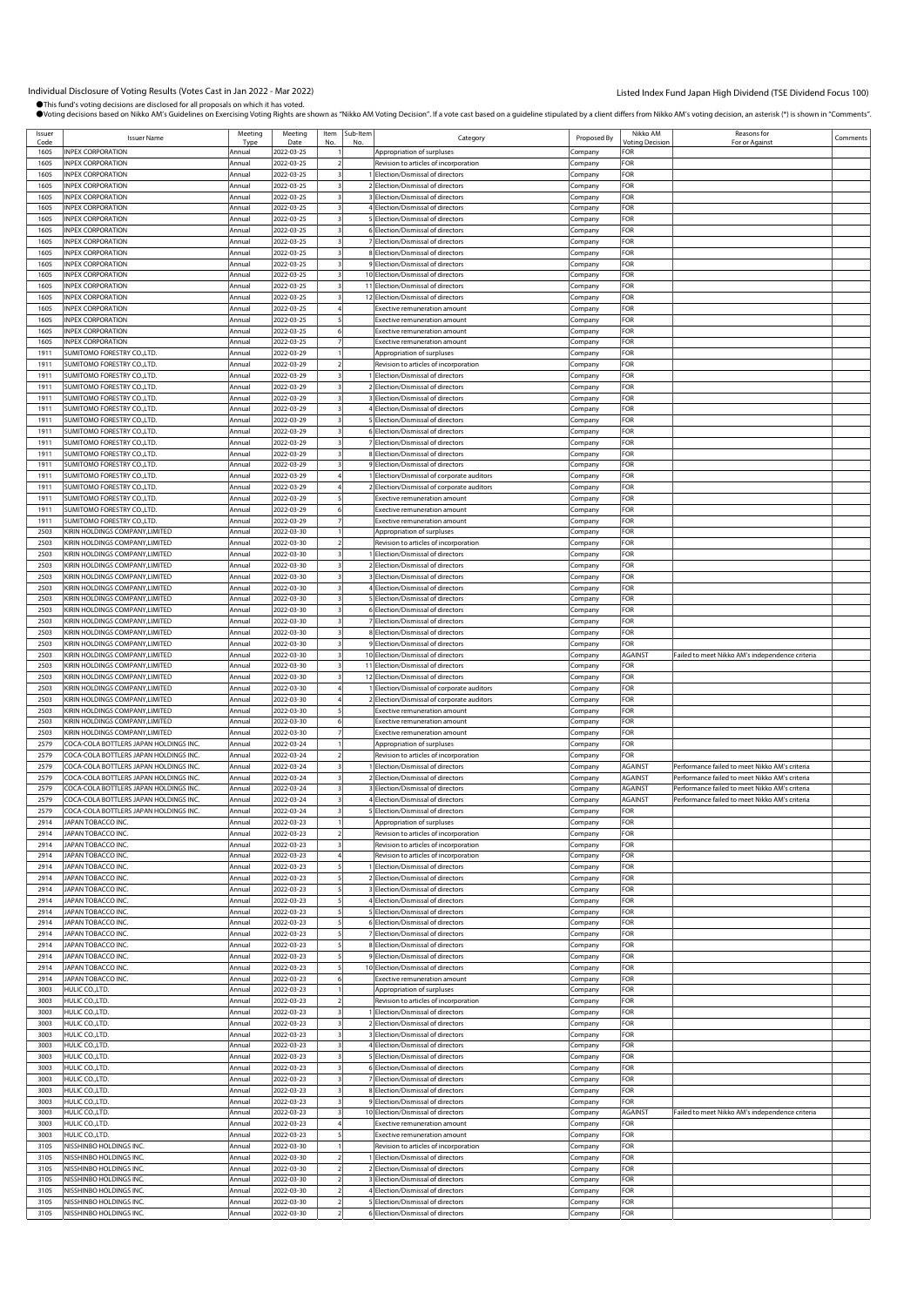| Issuer       | <b>Issuer Name</b>                     | Meeting               | Meeting            | Item | Sub-Item<br>No | Category                                                            | Proposed By | Nikko AM<br>/oting Decision | Reasons for                                     | Comments |
|--------------|----------------------------------------|-----------------------|--------------------|------|----------------|---------------------------------------------------------------------|-------------|-----------------------------|-------------------------------------------------|----------|
| Code<br>1605 | INPEX CORPORATION                      | <b>Type</b><br>Annual | Date<br>2022-03-25 | N٥   |                | Appropriation of surpluses                                          | Company     | FOR                         | For or Against                                  |          |
|              |                                        |                       |                    |      |                |                                                                     |             |                             |                                                 |          |
| 1605         | <b>INPEX CORPORATION</b>               | Annual                | 2022-03-25         |      |                | Revision to articles of incorporation                               | Company     | FOR                         |                                                 |          |
| 1605         | <b>INPEX CORPORATION</b>               | Annual                | 2022-03-25         |      |                | Election/Dismissal of directors                                     | Company     | FOR                         |                                                 |          |
| 1605         | <b>INPEX CORPORATION</b>               | Annual                | 2022-03-25         |      |                | 2 Election/Dismissal of directors                                   | .cmpany     | FOR                         |                                                 |          |
| 1605         | <b>INPEX CORPORATION</b>               | Annual                | 2022-03-25         |      |                | 3 Election/Dismissal of directors                                   | Company     | FOR                         |                                                 |          |
| 1605         | <b>INPEX CORPORATION</b>               | Annual                | 2022-03-25         |      |                | 4 Election/Dismissal of directors                                   | Company     | FOR                         |                                                 |          |
| 1605         | <b>INPEX CORPORATION</b>               | Annual                | 2022-03-25         |      |                | 5 Election/Dismissal of directors                                   | Company     | FOR                         |                                                 |          |
| 1605         | <b>INPEX CORPORATION</b>               | Annual                | 2022-03-25         |      |                | 6 Election/Dismissal of directors                                   | Company     | FOR                         |                                                 |          |
| 1605         | <b>INPEX CORPORATION</b>               | Annual                | 2022-03-25         |      |                | 7 Election/Dismissal of directors                                   | .ompany     | FOR                         |                                                 |          |
| 1605         | <b>INPEX CORPORATION</b>               | Annual                | 2022-03-25         |      |                | 8 Election/Dismissal of directors                                   | Company     | FOR                         |                                                 |          |
| 1605         | <b>INPEX CORPORATION</b>               | Annual                | 2022-03-25         |      |                | 9 Election/Dismissal of directors                                   | Company     | FOR                         |                                                 |          |
| 1605         | <b>INPEX CORPORATION</b>               | Annual                | 2022-03-25         |      |                | 10 Election/Dismissal of directors                                  | Company     | FOR                         |                                                 |          |
| 1605         | <b>INPEX CORPORATION</b>               | Annual                | 2022-03-25         |      |                | 11 Election/Dismissal of directors                                  | Company     | FOR                         |                                                 |          |
| 1605         | <b>INPEX CORPORATION</b>               | Annual                | 2022-03-25         |      |                | 12 Election/Dismissal of directors                                  | .cmpany     | FOR                         |                                                 |          |
| 1605         | <b>INPEX CORPORATION</b>               | Annua                 | 2022-03-25         |      |                | xective remuneration amount                                         |             | FOR                         |                                                 |          |
| 1605         | <b>INPEX CORPORATION</b>               | Annual                | 2022-03-25         |      |                | <b>Exective remuneration amount</b>                                 | Company     | FOR                         |                                                 |          |
|              |                                        |                       |                    |      |                |                                                                     | Company     |                             |                                                 |          |
| 1605         | <b>INPEX CORPORATION</b>               | Annua                 | 2022-03-25         |      |                | <b>Exective remuneration amount</b>                                 | Company     | FOR                         |                                                 |          |
| 1605         | <b>INPEX CORPORATION</b>               | Annual                | 2022-03-25         |      |                | <b>Exective remuneration amount</b>                                 | Company     | FOR                         |                                                 |          |
| 1911         | SUMITOMO FORESTRY CO.,LTD.             | Annual                | 2022-03-29         |      |                | Appropriation of surpluses                                          | .cmpany     | FOR                         |                                                 |          |
| 1911         | SUMITOMO FORESTRY CO., LTD.            | Annual                | 2022-03-29         |      |                | Revision to articles of incorporation                               | Company     | FOR                         |                                                 |          |
| 1911         | SUMITOMO FORESTRY CO.,LTD.             | Annual                | 2022-03-29         |      |                | 1 Election/Dismissal of directors                                   | Company     | FOR                         |                                                 |          |
| 1911         | SUMITOMO FORESTRY CO.,LTD.             | Annual                | 2022-03-29         |      |                | 2 Election/Dismissal of directors                                   | Company     | FOR                         |                                                 |          |
| 1911         | SUMITOMO FORESTRY CO.,LTD.             | Annual                | 2022-03-29         |      |                | 3 Election/Dismissal of directors                                   | Company     | FOR                         |                                                 |          |
| 1911         | SUMITOMO FORESTRY CO.,LTD.             | Annual                | 2022-03-29         |      |                | 4 Election/Dismissal of directors                                   | .cmpany     | FOR                         |                                                 |          |
| 1911         | SUMITOMO FORESTRY CO.,LTD.             | Annual                | 2022-03-29         |      |                | 5 Election/Dismissal of directors                                   | Company     | FOR                         |                                                 |          |
| 1911         | SUMITOMO FORESTRY CO.,LTD.             | Annual                | 2022-03-29         |      |                | 6 Election/Dismissal of directors                                   | Company     | FOR                         |                                                 |          |
| 1911         | SUMITOMO FORESTRY CO.,LTD.             | Annual                | 2022-03-29         |      |                | 7 Election/Dismissal of directors                                   | Company     | FOR                         |                                                 |          |
| 1911         | SUMITOMO FORESTRY CO.,LTD.             | Annual                | 2022-03-29         |      |                | 8 Election/Dismissal of directors                                   | Company     | FOR                         |                                                 |          |
| 1911         | SUMITOMO FORESTRY CO.,LTD.             | Annual                | 2022-03-29         |      |                | 9 Election/Dismissal of directors                                   | .cmpany     | FOR                         |                                                 |          |
| 1911         | SUMITOMO FORESTRY CO.,LTD.             | Annua                 | 2022-03-29         |      |                | 1 Election/Dismissal of corporate auditors                          | Company     | FOR                         |                                                 |          |
| 1911         | SUMITOMO FORESTRY CO.,LTD.             | Annual                | 2022-03-29         |      |                | 2 Election/Dismissal of corporate auditors                          | Company     | FOR                         |                                                 |          |
| 1911         | SUMITOMO FORESTRY CO.,LTD.             | Annua                 | 2022-03-29         |      |                | <b>Exective remuneration amount</b>                                 | Company     | FOR                         |                                                 |          |
| 1911         | SUMITOMO FORESTRY CO.,LTD.             | Annua                 | 2022-03-29         |      |                | <b>Exective remuneration amount</b>                                 | Company     | FOR                         |                                                 |          |
| 1911         | SUMITOMO FORESTRY CO.,LTD.             | Annual                | 2022-03-29         |      |                | Exective remuneration amount                                        | Company     | FOR                         |                                                 |          |
|              |                                        |                       |                    |      |                |                                                                     |             | FOR                         |                                                 |          |
| 2503         | KIRIN HOLDINGS COMPANY, LIMITED        | Annual                | 2022-03-30         |      |                | Appropriation of surpluses                                          | Company     |                             |                                                 |          |
| 2503         | KIRIN HOLDINGS COMPANY, LIMITED        | Annual                | 2022-03-30         |      |                | Revision to articles of incorporation                               | Company     | FOR                         |                                                 |          |
| 2503         | KIRIN HOLDINGS COMPANY,LIMITED         | Annual                | 2022-03-30         |      |                | 1 Election/Dismissal of directors                                   | Company     | FOR                         |                                                 |          |
| 2503         | KIRIN HOLDINGS COMPANY.LIMITED         | Annual                | 2022-03-30         |      |                | 2 Election/Dismissal of directors                                   | Company     | FOR                         |                                                 |          |
| 2503         | KIRIN HOLDINGS COMPANY, LIMITED        | Annual                | 2022-03-30         |      |                | 3 Election/Dismissal of directors                                   | .cmpany     | FOR                         |                                                 |          |
| 2503         | KIRIN HOLDINGS COMPANY, LIMITED        | Annual                | 2022-03-30         |      |                | 4 Election/Dismissal of directors                                   | Company     | FOR                         |                                                 |          |
| 2503         | KIRIN HOLDINGS COMPANY, LIMITED        | Annual                | 2022-03-30         |      |                | 5 Election/Dismissal of directors                                   | Company     | FOR                         |                                                 |          |
| 2503         | KIRIN HOLDINGS COMPANY,LIMITED         | Annual                | 2022-03-30         |      |                | 6 Election/Dismissal of directors                                   | Company     | FOR                         |                                                 |          |
| 2503         | KIRIN HOLDINGS COMPANY, LIMITED        | Annual                | 2022-03-30         |      |                | 7 Election/Dismissal of directors                                   | Company     | FOR                         |                                                 |          |
| 2503         | KIRIN HOLDINGS COMPANY, LIMITED        | Annual                | 2022-03-30         |      |                | 8 Election/Dismissal of directors                                   | .cmpany     | FOR                         |                                                 |          |
| 2503         | KIRIN HOLDINGS COMPANY, LIMITED        | Annual                | 2022-03-30         |      |                | 9 Election/Dismissal of directors                                   | Company     | FOR                         |                                                 |          |
| 2503         | KIRIN HOLDINGS COMPANY, LIMITED        | Annual                | 2022-03-30         |      |                | 10 Election/Dismissal of directors                                  | Company     | AGAINST                     | Failed to meet Nikko AM's independence criteria |          |
| 2503         | KIRIN HOLDINGS COMPANY,LIMITED         | Annual                | 2022-03-30         |      |                | 11 Election/Dismissal of directors                                  | Company     | FOR                         |                                                 |          |
| 2503         | KIRIN HOLDINGS COMPANY, LIMITED        | Annual                | 2022-03-30         |      |                | 12 Election/Dismissal of directors                                  | Company     | FOR                         |                                                 |          |
| 2503         | KIRIN HOLDINGS COMPANY, LIMITED        | Annual                | 2022-03-30         |      |                | Election/Dismissal of corporate auditors                            | Company     | FOR                         |                                                 |          |
| 2503         | KIRIN HOLDINGS COMPANY, LIMITED        | Annua                 | 2022-03-30         |      |                | 2 Election/Dismissal of corporate auditors                          | Company     | FOR                         |                                                 |          |
| 2503         | KIRIN HOLDINGS COMPANY, LIMITED        | Annual                | 2022-03-30         |      |                | Exective remuneration amount                                        |             | FOR                         |                                                 |          |
|              |                                        |                       |                    |      |                |                                                                     | Company     |                             |                                                 |          |
| 2503         | KIRIN HOLDINGS COMPANY,LIMITED         | Annual                | 2022-03-30         |      |                | <b>Exective remuneration amount</b>                                 | Company     | FOR                         |                                                 |          |
| 2503         | KIRIN HOLDINGS COMPANY,LIMITED         | Annual                | 2022-03-30         |      |                | Exective remuneration amount                                        | Company     | FOR                         |                                                 |          |
| 2579         | COCA-COLA BOTTLERS JAPAN HOLDINGS INC. | Annual                | 2022-03-24         |      |                | Appropriation of surpluses                                          | .ompany     | FOR                         |                                                 |          |
| 2579         | COCA-COLA BOTTLERS JAPAN HOLDINGS INC. | Annual                | 2022-03-24         |      |                | Revision to articles of incorporation                               | Company     | FOR                         |                                                 |          |
| 2579         | COCA-COLA BOTTLERS JAPAN HOLDINGS INC. | Annual                | 2022-03-24         |      |                | 1 Election/Dismissal of directors                                   | Company     | AGAINST                     | Performance failed to meet Nikko AM's criteria  |          |
| 2579         | COCA-COLA BOTTLERS JAPAN HOLDINGS INC. | Annual                | 2022-03-24         |      |                | 2 Election/Dismissal of directors                                   | Company     | AGAINST                     | Performance failed to meet Nikko AM's criteria  |          |
| 2579         | COCA-COLA BOTTLERS JAPAN HOLDINGS INC  | Annual                | 2022-03-24         |      |                | 3 Election/Dismissal of directors                                   | Company     | AGAINST                     | Performance failed to meet Nikko AM's criteria  |          |
| 2579         | COCA-COLA BOTTLERS JAPAN HOLDINGS INC. | Annual                | 2022-03-24         |      |                | 4 Election/Dismissal of directors                                   | Company     | AGAINST                     | Performance failed to meet Nikko AM's criteria  |          |
| 2579         | COCA-COLA BOTTLERS JAPAN HOLDINGS INC. | Annual                | 2022-03-24         |      |                | 5 Election/Dismissal of directors                                   | Company     | FOR                         |                                                 |          |
| 2914         | JAPAN TOBACCO INC.                     | Annual                | 2022-03-23         |      |                | Appropriation of surpluses                                          | Company     | FOR                         |                                                 |          |
| 2914         | JAPAN TOBACCO INC.                     | Annual                | 2022-03-23         |      |                | Revision to articles of incorporation                               | Company     | FOR                         |                                                 |          |
| 2914         | JAPAN TOBACCO INC.                     | Annual                | 2022-03-23         |      |                | Revision to articles of incorporation                               | Company     | FOR                         |                                                 |          |
| 2914         | JAPAN TOBACCO INC.                     | Annual                | 2022-03-23         |      |                | Revision to articles of incorporation                               | Company     | FOR                         |                                                 |          |
| 2914         | JAPAN TOBACCO INC.                     | Annual                | 2022-03-23         |      |                | 1 Election/Dismissal of directors                                   | Company     | FOR                         |                                                 |          |
| 2914         | JAPAN TOBACCO INC.                     | Annual                | 2022-03-23         |      |                | 2 Election/Dismissal of directors                                   | Company     | FOR                         |                                                 |          |
| 2914         | JAPAN TOBACCO INC.                     | Annual                | 2022-03-23         |      |                | 3 Election/Dismissal of directors                                   | Company     | FOR                         |                                                 |          |
| 2914         | JAPAN TOBACCO INC.                     | Annual                | 2022-03-23         |      |                | 4 Election/Dismissal of directors                                   | Company     | FOR                         |                                                 |          |
| 2914         | JAPAN TOBACCO INC.                     | Annual                | 2022-03-23         |      |                | 5 Election/Dismissal of directors                                   | Company     | FOR                         |                                                 |          |
| 2914         | JAPAN TOBACCO INC.                     | Annual                | 2022-03-23         |      |                | 6 Election/Dismissal of directors                                   | Company     | FOR                         |                                                 |          |
| 2914         | JAPAN TOBACCO INC.                     | Annual                | 2022-03-23         |      |                | 7 Election/Dismissal of directors                                   | Company     | FOR                         |                                                 |          |
| 2914         | JAPAN TOBACCO INC.                     | Annual                | 2022-03-23         |      |                | 8 Election/Dismissal of directors                                   | Company     | FOR                         |                                                 |          |
| 2914         | JAPAN TOBACCO INC.                     | Annual                | 2022-03-23         |      |                | 9 Election/Dismissal of directors                                   | Company     | FOR                         |                                                 |          |
| 2914         | JAPAN TOBACCO INC.                     | Annual                | 2022-03-23         |      |                | 10 Election/Dismissal of directors                                  | Company     | FOR                         |                                                 |          |
| 2914         | JAPAN TOBACCO INC.                     | Annual                | 2022-03-23         |      |                | Exective remuneration amount                                        | Company     | FOR                         |                                                 |          |
| 3003         | HULIC CO., LTD.                        | Annual                | 2022-03-23         |      |                |                                                                     |             | FOR                         |                                                 |          |
| 3003         |                                        | Annual                |                    |      |                | Appropriation of surpluses<br>Revision to articles of incorporation | Company     | FOR                         |                                                 |          |
|              | HULIC CO.,LTD.                         |                       | 2022-03-23         |      |                |                                                                     | Company     |                             |                                                 |          |
| 3003         | HULIC CO., LTD.                        | Annual                | 2022-03-23         |      |                | I Election/Dismissal of directors                                   | Company     | FOR                         |                                                 |          |
| 3003         | HULIC CO., LTD.                        | Annual                | 2022-03-23         |      |                | 2 Election/Dismissal of directors                                   | Company     | FOR                         |                                                 |          |
| 3003         | HULIC CO., LTD.                        | Annual                | 2022-03-23         |      |                | 3 Election/Dismissal of directors                                   | Company     | FOR                         |                                                 |          |
| 3003         | HULIC CO., LTD.                        | Annual                | 2022-03-23         |      |                | 4 Election/Dismissal of directors                                   | Company     | FOR                         |                                                 |          |
| 3003         | HULIC CO.,LTD.                         | Annual                | 2022-03-23         |      |                | 5 Election/Dismissal of directors                                   | Company     | FOR                         |                                                 |          |
| 3003         | HULIC CO., LTD.                        | Annual                | 2022-03-23         |      |                | 6 Election/Dismissal of directors                                   | Company     | FOR                         |                                                 |          |
| 3003         | HULIC CO., LTD.                        | Annual                | 2022-03-23         |      |                | 7 Election/Dismissal of directors                                   | Company     | FOR                         |                                                 |          |
| 3003         | HULIC CO., LTD.                        | Annual                | 2022-03-23         |      |                | 8 Election/Dismissal of directors                                   | Company     | FOR                         |                                                 |          |
| 3003         | HULIC CO., LTD.                        | Annual                | 2022-03-23         |      |                | 9 Election/Dismissal of directors                                   | Company     | FOR                         |                                                 |          |
| 3003         | HULIC CO.,LTD.                         | Annual                | 2022-03-23         |      |                | 10 Election/Dismissal of directors                                  | Company     | AGAINST                     | Failed to meet Nikko AM's independence criteria |          |
| 3003         | HULIC CO., LTD.                        | Annual                | 2022-03-23         |      |                | <b>Exective remuneration amount</b>                                 | Company     | FOR                         |                                                 |          |
| 3003         | HULIC CO., LTD.                        | Annual                | 2022-03-23         |      |                | Exective remuneration amount                                        | Company     | FOR                         |                                                 |          |
| 3105         | NISSHINBO HOLDINGS INC.                | Annual                | 2022-03-30         |      |                | Revision to articles of incorporation                               | Company     | FOR                         |                                                 |          |
| 3105         | NISSHINBO HOLDINGS INC.                | Annual                | 2022-03-30         |      |                | 1 Election/Dismissal of directors                                   | Company     | FOR                         |                                                 |          |
| 3105         | NISSHINBO HOLDINGS INC.                | Annual                | 2022-03-30         |      |                | 2 Election/Dismissal of directors                                   | Company     | FOR                         |                                                 |          |
| 3105         | NISSHINBO HOLDINGS INC.                | Annual                | 2022-03-30         |      |                | 3 Election/Dismissal of directors                                   | Company     | FOR                         |                                                 |          |
| 3105         | NISSHINBO HOLDINGS INC.                | Annual                | 2022-03-30         |      |                | 4 Election/Dismissal of directors                                   | Company     | FOR                         |                                                 |          |
| 3105         | NISSHINBO HOLDINGS INC                 | Annual                | 2022-03-30         |      |                | 5 Election/Dismissal of directors                                   | Company     | FOR                         |                                                 |          |
| 3105         | NISSHINBO HOLDINGS INC.                | Annual                | 2022-03-30         |      |                | 6 Election/Dismissal of directors                                   | Company     | FOR                         |                                                 |          |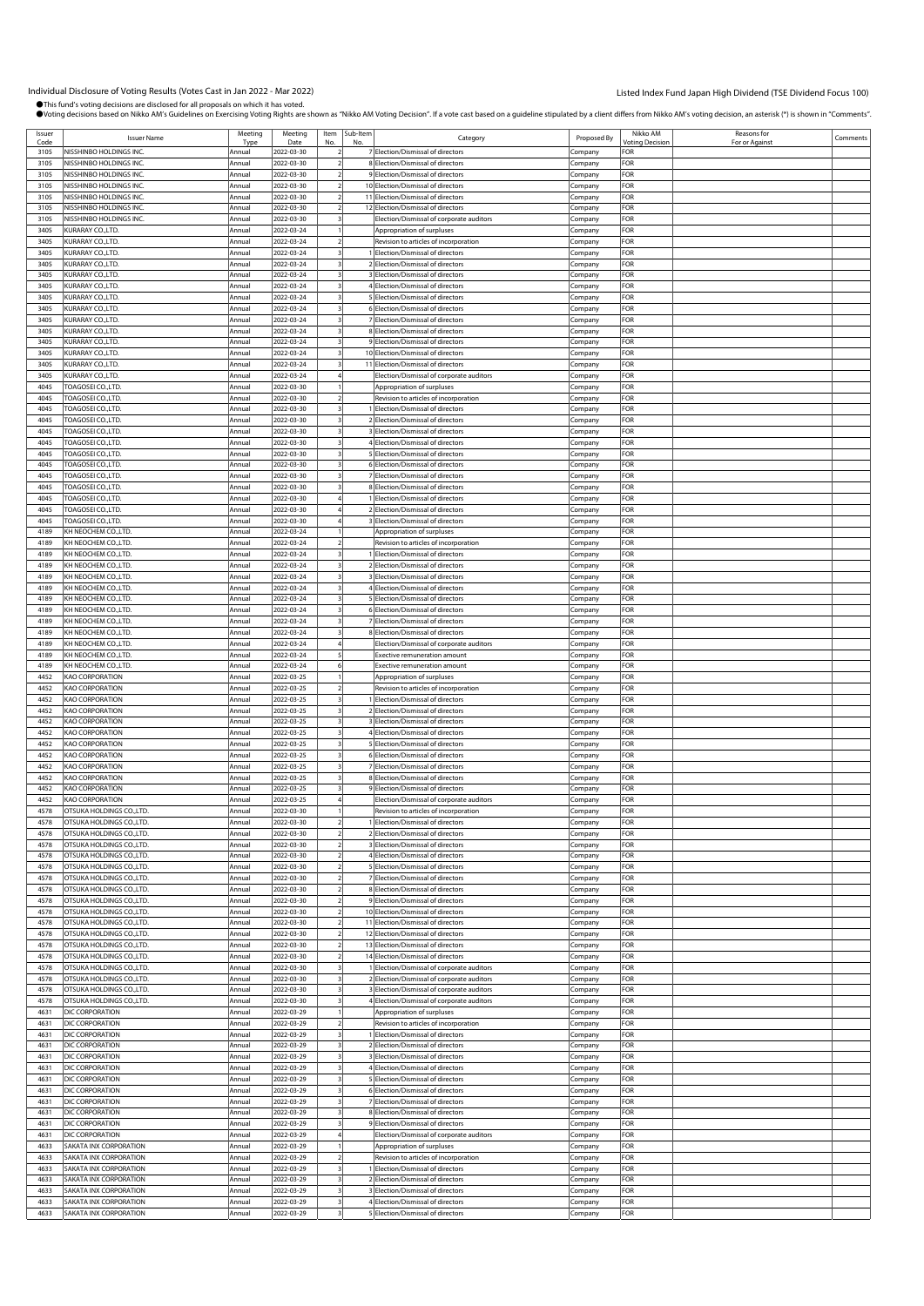| Issuer<br>Code | <b>Issuer Name</b>                        | Meeting          | Meeting<br>Date          | Item Sub-Item | Category                                                               | Proposed By | Nikko AM<br>otina Decisio | Reasons for<br>For or Against | Comments |
|----------------|-------------------------------------------|------------------|--------------------------|---------------|------------------------------------------------------------------------|-------------|---------------------------|-------------------------------|----------|
| 3105           | NISSHINBO HOLDINGS INC.                   | Annual           | 2022-03-30               |               | 7 Election/Dismissal of directors                                      | Company     | FOR                       |                               |          |
| 3105           | NISSHINBO HOLDINGS INC.                   | Annual           | 2022-03-30               |               | 8 Election/Dismissal of directors                                      | Company     | FOR                       |                               |          |
| 3105           | NISSHINBO HOLDINGS INC.                   | Annual           | 2022-03-30               |               | 9 Election/Dismissal of directors                                      | Company     | FOR                       |                               |          |
| 3105           | NISSHINBO HOLDINGS INC.                   | Annual           | 2022-03-30               |               | 10 Election/Dismissal of directors                                     | Company     | FOR                       |                               |          |
| 3105           | NISSHINBO HOLDINGS INC.                   | Annual           | 2022-03-30               |               | 11 Election/Dismissal of directors                                     | Company     | FOR                       |                               |          |
| 3105           | NISSHINBO HOLDINGS INC.                   | Annual           | 2022-03-30               |               | 12 Election/Dismissal of directors                                     | Company     | FOR                       |                               |          |
| 3105           | NISSHINBO HOLDINGS INC.                   | Annual           | 2022-03-30               |               | Election/Dismissal of corporate auditors                               | Company     | FOR                       |                               |          |
| 3405           | KURARAY CO.,LTD.                          | Annual           | 2022-03-24               |               | Appropriation of surpluses                                             | Company     | FOR                       |                               |          |
| 3405           | KURARAY CO.,LTD.                          | Annual           | 2022-03-24               |               | Revision to articles of incorporation                                  | Company     | FOR                       |                               |          |
| 3405           | KURARAY CO.,LTD.                          | Annual           | 2022-03-24               |               | 1 Election/Dismissal of directors                                      | Company     | FOR                       |                               |          |
|                |                                           |                  |                          |               | 2 Election/Dismissal of directors                                      |             | FOR                       |                               |          |
| 3405           | KURARAY CO.,LTD.                          | Annual           | 2022-03-24               |               |                                                                        | Company     |                           |                               |          |
| 3405           | KURARAY CO.,LTD.                          | Annual           | 2022-03-24               |               | 3 Election/Dismissal of directors                                      | Company     | FOR                       |                               |          |
| 3405           | KURARAY CO.,LTD.                          | Annual           | 2022-03-24               |               | 4 Election/Dismissal of directors                                      | Company     | FOR                       |                               |          |
| 3405           | KURARAY CO.,LTD.                          | Annual           | 2022-03-24               |               | 5 Election/Dismissal of directors                                      | Company     | FOR                       |                               |          |
| 3405           | KURARAY CO.,LTD.                          | Annual           | 2022-03-24               |               | 6 Election/Dismissal of directors                                      | Company     | FOR                       |                               |          |
| 3405           | KURARAY CO.,LTD.                          | Annual           | 2022-03-24               |               | 7 Election/Dismissal of directors                                      | Company     | FOR                       |                               |          |
| 3405           | KURARAY CO.,LTD.                          | Annual           | 2022-03-24               |               | 8 Election/Dismissal of directors                                      | Company     | FOR                       |                               |          |
| 3405           | KURARAY CO.,LTD.                          | Annual           | 2022-03-24               |               | 9 Election/Dismissal of directors                                      | Company     | FOR                       |                               |          |
| 3405           | KURARAY CO.,LTD.                          | Annual           | 2022-03-24               |               | 10 Election/Dismissal of directors                                     | Company     | FOR                       |                               |          |
| 3405           | KURARAY CO.,LTD.                          | Annual           | 2022-03-24               |               | 11 Election/Dismissal of directors                                     | Company     | FOR                       |                               |          |
| 3405           | KURARAY CO.,LTD.                          | Annual           | 2022-03-24               |               | Election/Dismissal of corporate auditors                               | Company     | FOR                       |                               |          |
| 4045           | TOAGOSEI CO.,LTD.                         | Annual           | 2022-03-30               |               | Appropriation of surpluses                                             | Company     | FOR                       |                               |          |
| 4045           | TOAGOSEI CO.,LTD                          | Annual           | 2022-03-30               |               | Revision to articles of incorporation                                  | Company     | FOR                       |                               |          |
| 4045           | TOAGOSEI CO.,LTD.                         | Annual           | 2022-03-30               |               | 1 Election/Dismissal of directors                                      | Company     | FOR                       |                               |          |
| 4045           | TOAGOSEI CO.,LTD.                         | Annual           | 2022-03-30               |               | 2 Election/Dismissal of directors                                      | Company     | FOR                       |                               |          |
| 4045           | TOAGOSEI CO.,LTD.                         | Annual           | 2022-03-30               |               | 3 Election/Dismissal of directors                                      | Company     | FOR                       |                               |          |
| 4045           | TOAGOSEI CO.,LTD.                         | Annual           | 2022-03-30               |               | 4 Election/Dismissal of directors                                      | Company     | FOR                       |                               |          |
| 4045           | TOAGOSEI CO.,LTD.                         | Annual           | 2022-03-30               |               | 5 Election/Dismissal of directors                                      | Company     | FOR                       |                               |          |
| 4045           | TOAGOSEI CO.,LTD.                         | Annual           | 2022-03-30               |               | 6 Election/Dismissal of directors                                      | Company     | FOR                       |                               |          |
| 4045           | TOAGOSEI CO.,LTD.                         | Annual           | 2022-03-30               |               | 7 Election/Dismissal of directors                                      | Company     | FOR                       |                               |          |
| 4045           | TOAGOSEI CO.,LTD.                         | Annual           | 2022-03-30               |               | 8 Election/Dismissal of directors                                      | Company     | FOR                       |                               |          |
| 4045           | TOAGOSEI CO.,LTD.                         |                  | 2022-03-30               |               |                                                                        |             | FOR                       |                               |          |
|                |                                           | Annual           |                          |               | 1 Election/Dismissal of directors<br>2 Election/Dismissal of directors | Company     |                           |                               |          |
| 4045<br>4045   | TOAGOSEI CO.,LTD.<br>TOAGOSEI CO.,LTD.    | Annual<br>Annual | 2022-03-30<br>2022-03-30 |               | 3 Election/Dismissal of directors                                      | Company     | FOR<br>FOR                |                               |          |
|                |                                           |                  |                          |               |                                                                        | Company     |                           |                               |          |
| 4189           | KH NEOCHEM CO.,LTD.                       | Annual           | 2022-03-24               |               | Appropriation of surpluses                                             | Company     | FOR                       |                               |          |
| 4189           | KH NEOCHEM CO.,LTD.                       | Annua            | 2022-03-24               |               | Revision to articles of incorporation                                  | Company     | FOR                       |                               |          |
| 4189           | KH NEOCHEM CO.,LTD.                       | Annual           | 2022-03-24               |               | 1 Election/Dismissal of directors                                      | Company     | FOR                       |                               |          |
| 4189           | KH NEOCHEM CO.,LTD.                       | Annua            | 2022-03-24               |               | 2 Election/Dismissal of directors                                      | Company     | FOR                       |                               |          |
| 4189           | KH NEOCHEM CO.,LTD.                       | Annual           | 2022-03-24               |               | 3 Election/Dismissal of directors                                      | Company     | FOR                       |                               |          |
| 4189           | KH NEOCHEM CO.,LTD.                       | Annual           | 2022-03-24               |               | 4 Election/Dismissal of directors                                      | Company     | FOR                       |                               |          |
| 4189           | KH NEOCHEM CO.,LTD.                       | Annual           | 2022-03-24               |               | 5 Election/Dismissal of directors                                      | Company     | FOR                       |                               |          |
| 4189           | KH NEOCHEM CO.,LTD.                       | Annual           | 2022-03-24               |               | 6 Election/Dismissal of directors                                      | Company     | FOR                       |                               |          |
| 4189           | KH NEOCHEM CO.,LTD.                       | Annua            | 2022-03-24               |               | 7 Election/Dismissal of directors                                      | Company     | FOR                       |                               |          |
| 4189           | KH NEOCHEM CO.,LTD.                       | Annual           | 2022-03-24               |               | 8 Election/Dismissal of directors                                      | Company     | FOR                       |                               |          |
| 4189           | KH NEOCHEM CO.,LTD.                       | Annual           | 2022-03-24               |               | Election/Dismissal of corporate auditors                               | Company     | FOR                       |                               |          |
| 4189           | KH NEOCHEM CO.,LTD.                       | Annual           | 2022-03-24               |               | <b>Exective remuneration amount</b>                                    | Company     | FOR                       |                               |          |
| 4189           | KH NEOCHEM CO.,LTD.                       | Annual           | 2022-03-24               |               | Exective remuneration amount                                           | Company     | FOR                       |                               |          |
| 4452           | <b>KAO CORPORATION</b>                    | Annual           | 2022-03-25               |               | Appropriation of surpluses                                             | Company     | FOR                       |                               |          |
| 4452           | <b>(AO CORPORATION</b>                    | Annual           | 2022-03-25               |               | Revision to articles of incorporation                                  | Company     | FOR                       |                               |          |
| 4452           | KAO CORPORATION                           | Annual           | 2022-03-25               |               | 1 Election/Dismissal of directors                                      | Company     | FOR                       |                               |          |
| 4452           | KAO CORPORATION                           | Annual           | 2022-03-25               |               | 2 Election/Dismissal of directors                                      | Company     | FOR                       |                               |          |
| 4452           | KAO CORPORATION                           | Annual           | 2022-03-25               |               | 3 Election/Dismissal of directors                                      | Company     | FOR                       |                               |          |
| 4452           | <b>KAO CORPORATION</b>                    | Annual           | 2022-03-25               |               | 4 Election/Dismissal of directors                                      | Company     | FOR                       |                               |          |
| 4452           | <b>(AO CORPORATION</b>                    | Annual           | 2022-03-25               |               | 5 Election/Dismissal of directors                                      | Company     | FOR                       |                               |          |
| 4452           | KAO CORPORATION                           | Annual           | 2022-03-25               |               | 6 Election/Dismissal of directors                                      | Company     | FOR                       |                               |          |
| 4452           | KAO CORPORATION                           | Annual           | 2022-03-25               |               | 7 Election/Dismissal of directors                                      | Company     | FOR                       |                               |          |
|                |                                           |                  | 2022-03-25               |               | 8 Election/Dismissal of directors                                      |             |                           |                               |          |
| 4452<br>4452   | KAO CORPORATION<br><b>KAO CORPORATION</b> | Annua            |                          |               |                                                                        | Company     | FOR<br>FOR                |                               |          |
|                |                                           | Annua            | 2022-03-25               |               | 9 Election/Dismissal of directors                                      | Company     |                           |                               |          |
| 4452           | <b>(AO CORPORATION</b>                    | Annual           | 2022-03-25               |               | Election/Dismissal of corporate auditors                               | Company     | FOR                       |                               |          |
| 4578           | OTSUKA HOLDINGS CO.,LTD                   | Annual           | 2022-03-30               |               | Revision to articles of incorporation                                  | Company     | FOR                       |                               |          |
| 4578           | OTSUKA HOLDINGS CO., LTD.                 | Annual           | 2022-03-30               |               | 1 Election/Dismissal of directors                                      | Company     | FOR                       |                               |          |
| 4578           | OTSUKA HOLDINGS CO., LTD.                 | Annual           | 2022-03-30               |               | 2 Election/Dismissal of directors                                      | Company     | FOR                       |                               |          |
| 4578           | OTSUKA HOLDINGS CO., LTD.                 | Annual           | 2022-03-30               |               | 3 Election/Dismissal of directors                                      | Company     | FOR                       |                               |          |
| 4578           | OTSUKA HOLDINGS CO., LTD.                 | Annual           | 2022-03-30               |               | 4 Election/Dismissal of directors                                      | Company     | FOR                       |                               |          |
| 4578           | OTSUKA HOLDINGS CO., LTD.                 | Annual           | 2022-03-30               |               | 5 Election/Dismissal of directors                                      | Company     | FOR                       |                               |          |
| 4578           | OTSUKA HOLDINGS CO., LTD.                 | Annual           | 2022-03-30               |               | 7 Election/Dismissal of directors                                      | Company     | FOR                       |                               |          |
| 4578           | OTSUKA HOLDINGS CO.,LTD                   | Annual           | 2022-03-30               |               | 8 Election/Dismissal of directors                                      | Company     | FOR                       |                               |          |
| 4578           | OTSUKA HOLDINGS CO., LTD.                 | Annual           | 2022-03-30               |               | 9 Election/Dismissal of directors                                      | Company     | FOR                       |                               |          |
| 4578           | OTSUKA HOLDINGS CO., LTD.                 | Annual           | 2022-03-30               |               | 10 Election/Dismissal of directors                                     | Company     | FOR                       |                               |          |
| 4578           | OTSUKA HOLDINGS CO., LTD.                 | Annual           | 2022-03-30               |               | 11 Election/Dismissal of directors                                     | Company     | FOR                       |                               |          |
| 4578           | OTSUKA HOLDINGS CO., LTD.                 | Annual           | 2022-03-30               |               | 12 Election/Dismissal of directors                                     | Company     | FOR                       |                               |          |
| 4578           | OTSUKA HOLDINGS CO.,LTD                   | Annual           | 2022-03-30               |               | 13 Election/Dismissal of directors                                     | Company     | FOR                       |                               |          |
| 4578           | OTSUKA HOLDINGS CO., LTD.                 | Annual           | 2022-03-30               |               | 14 Election/Dismissal of directors                                     | Company     | FOR                       |                               |          |
| 4578           | OTSUKA HOLDINGS CO., LTD.                 | Annual           | 2022-03-30               |               | 1 Election/Dismissal of corporate auditors                             | Company     | FOR                       |                               |          |
| 4578           | OTSUKA HOLDINGS CO.,LTD                   | Annual           | 2022-03-30               |               | 2 Election/Dismissal of corporate auditors                             | Company     | FOR                       |                               |          |
| 4578           | OTSUKA HOLDINGS CO., LTD.                 | Annual           | 2022-03-30               |               | 3 Election/Dismissal of corporate auditors                             | Company     | FOR                       |                               |          |
| 4578           | OTSUKA HOLDINGS CO., LTD.                 | Annual           | 2022-03-30               |               | 4 Election/Dismissal of corporate auditors                             | Company     | FOR                       |                               |          |
| 4631           | DIC CORPORATION                           | Annual           | 2022-03-29               |               | Appropriation of surpluses                                             | Company     | FOR                       |                               |          |
| 4631           | DIC CORPORATION                           | Annual           | 2022-03-29               |               | Revision to articles of incorporation                                  | Company     | FOR                       |                               |          |
| 4631           | DIC CORPORATION                           | Annual           | 2022-03-29               |               | 1 Election/Dismissal of directors                                      | Company     | FOR                       |                               |          |
| 4631           | DIC CORPORATION                           | Annual           | 2022-03-29               |               | 2 Election/Dismissal of directors                                      | Company     | FOR                       |                               |          |
| 4631           | DIC CORPORATION                           | Annual           | 2022-03-29               |               | 3 Election/Dismissal of directors                                      |             | FOR                       |                               |          |
|                |                                           |                  |                          |               |                                                                        | Company     |                           |                               |          |
| 4631           | DIC CORPORATION                           | Annual           | 2022-03-29               |               | 4 Election/Dismissal of directors                                      | Company     | FOR                       |                               |          |
| 4631           | DIC CORPORATION                           | Annual           | 2022-03-29               |               | 5 Election/Dismissal of directors                                      | Company     | FOR                       |                               |          |
| 4631           | DIC CORPORATION                           | Annual           | 2022-03-29               |               | 6 Election/Dismissal of directors                                      | Company     | FOR                       |                               |          |
| 4631           | DIC CORPORATION                           | Annual           | 2022-03-29               |               | 7 Election/Dismissal of directors                                      | Company     | FOR                       |                               |          |
| 4631           | DIC CORPORATION                           | Annual           | 2022-03-29               |               | 8 Election/Dismissal of directors                                      | Company     | FOR                       |                               |          |
| 4631           | DIC CORPORATION                           | Annual           | 2022-03-29               |               | 9 Election/Dismissal of directors                                      | Company     | FOR                       |                               |          |
| 4631           | DIC CORPORATION                           | Annual           | 2022-03-29               |               | Election/Dismissal of corporate auditors                               | Company     | FOR                       |                               |          |
| 4633           | SAKATA INX CORPORATION                    | Annual           | 2022-03-29               |               | Appropriation of surpluses                                             | Company     | FOR                       |                               |          |
| 4633           | SAKATA INX CORPORATION                    | Annual           | 2022-03-29               |               | Revision to articles of incorporation                                  | Company     | FOR                       |                               |          |
| 4633           | SAKATA INX CORPORATION                    | Annual           | 2022-03-29               |               | 1 Election/Dismissal of directors                                      | Company     | FOR                       |                               |          |
| 4633           | SAKATA INX CORPORATION                    | Annual           | 2022-03-29               |               | 2 Election/Dismissal of directors                                      | Company     | FOR                       |                               |          |
| 4633           | SAKATA INX CORPORATION                    | Annual           | 2022-03-29               |               | 3 Election/Dismissal of directors                                      | Company     | FOR                       |                               |          |
| 4633           | SAKATA INX CORPORATION                    | Annual           | 2022-03-29               |               | 4 Election/Dismissal of directors                                      | Company     | FOR                       |                               |          |
| 4633           | SAKATA INX CORPORATION                    | Annual           | 2022-03-29               |               | 5 Election/Dismissal of directors                                      | Company     | FOR                       |                               |          |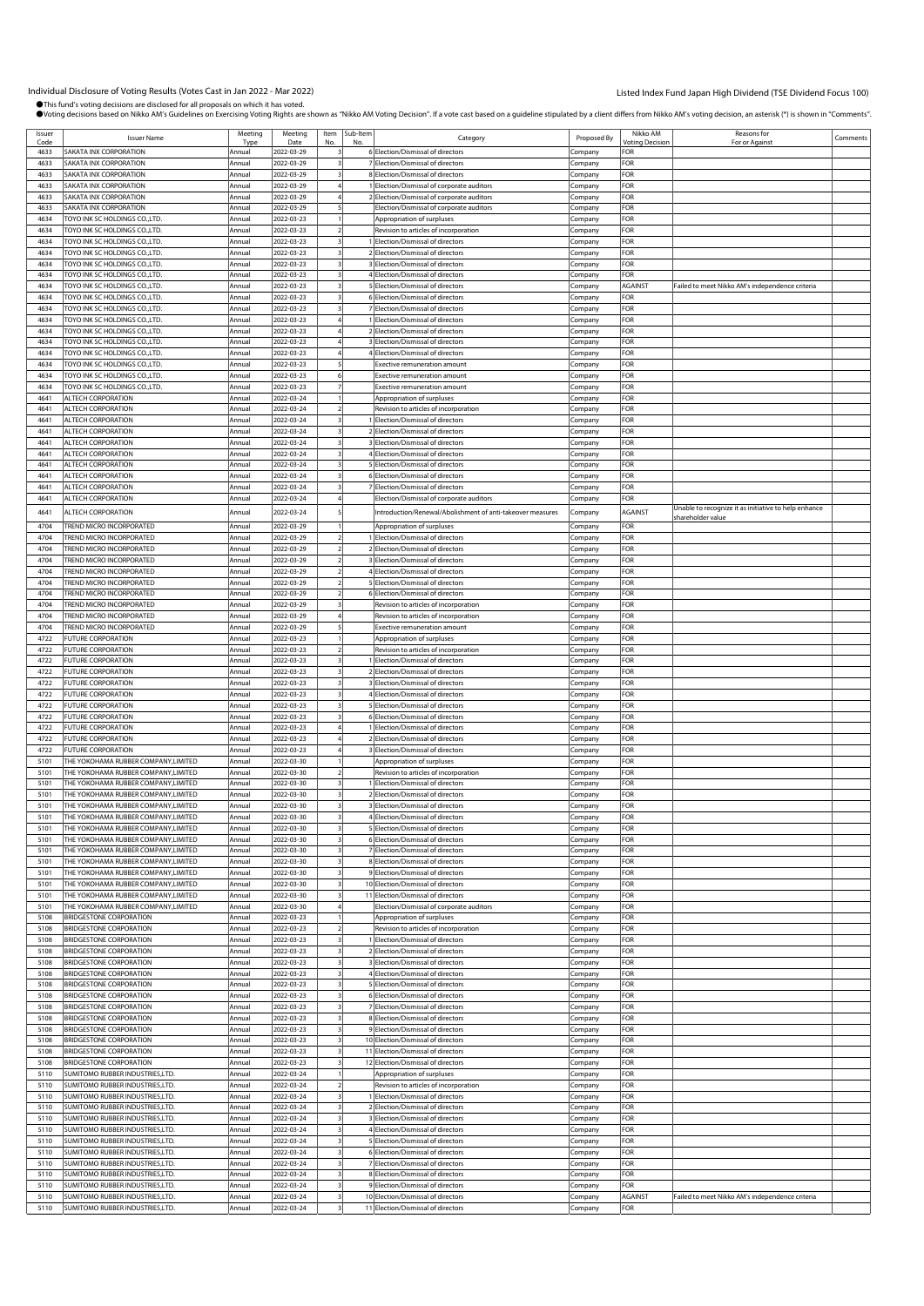| Issuer | <b>Issuer Name</b>                   | Meeting | Meeting    |     | Item Sub-Item | Category                                                   | Proposed By | Nikko AM               | Reasons for                                          | Comments |
|--------|--------------------------------------|---------|------------|-----|---------------|------------------------------------------------------------|-------------|------------------------|------------------------------------------------------|----------|
| Code   |                                      | Type    | Date       | No. | No            |                                                            |             | <b>Voting Decision</b> | For or Against                                       |          |
| 4633   | SAKATA INX CORPORATION               | Annual  | 2022-03-29 |     |               | 6 Election/Dismissal of directors                          | Company     | FOR                    |                                                      |          |
| 4633   | SAKATA INX CORPORATION               | Annual  | 2022-03-29 |     |               | 7 Election/Dismissal of directors                          | Company     | FOR                    |                                                      |          |
| 4633   | SAKATA INX CORPORATION               | Annual  | 2022-03-29 |     |               | 8 Election/Dismissal of directors                          |             | FOR                    |                                                      |          |
|        |                                      |         |            |     |               |                                                            | Company     |                        |                                                      |          |
| 4633   | SAKATA INX CORPORATION               | Annual  | 2022-03-29 |     |               | 1 Election/Dismissal of corporate auditors                 | Company     | FOR                    |                                                      |          |
| 4633   | SAKATA INX CORPORATION               | Annual  | 2022-03-29 |     |               | 2 Election/Dismissal of corporate auditors                 | .ompany     | FOR                    |                                                      |          |
| 4633   | <b>SAKATA INX CORPORATION</b>        | Annual  | 2022-03-29 |     |               | Election/Dismissal of corporate auditors                   | Company     | FOR                    |                                                      |          |
|        |                                      |         |            |     |               |                                                            |             |                        |                                                      |          |
| 4634   | TOYO INK SC HOLDINGS CO.,LTD         | Annual  | 2022-03-23 |     |               | Appropriation of surpluses                                 | Company     | FOR                    |                                                      |          |
| 4634   | TOYO INK SC HOLDINGS CO., LTD.       | Annual  | 2022-03-23 |     |               | Revision to articles of incorporation                      | Company     | FOR                    |                                                      |          |
| 4634   | TOYO INK SC HOLDINGS CO.,LTD.        | Annual  | 2022-03-23 |     |               | 1 Election/Dismissal of directors                          | Company     | FOR                    |                                                      |          |
| 4634   | TOYO INK SC HOLDINGS CO., LTD.       | Annual  | 2022-03-23 |     |               | 2 Election/Dismissal of directors                          | ompany.     | FOR                    |                                                      |          |
|        |                                      |         |            |     |               |                                                            |             |                        |                                                      |          |
| 4634   | TOYO INK SC HOLDINGS CO.,LTD.        | Annual  | 2022-03-23 |     |               | 3 Election/Dismissal of directors                          | Company     | FOR                    |                                                      |          |
| 4634   | TOYO INK SC HOLDINGS CO., LTD        | Annual  | 2022-03-23 |     |               | 4 Election/Dismissal of directors                          | Company     | FOR                    |                                                      |          |
| 4634   | TOYO INK SC HOLDINGS CO., LTD.       | Annual  | 2022-03-23 |     |               | 5 Election/Dismissal of directors                          | Company     | AGAINST                | Failed to meet Nikko AM's independence criteria      |          |
|        |                                      |         |            |     |               |                                                            |             |                        |                                                      |          |
| 4634   | TOYO INK SC HOLDINGS CO.,LTD.        | Annual  | 2022-03-23 |     |               | 6 Election/Dismissal of directors                          | Company     | FOR                    |                                                      |          |
| 4634   | TOYO INK SC HOLDINGS CO., LTD.       | Annual  | 2022-03-23 |     |               | 7 Election/Dismissal of directors                          | ompany.     | FOR                    |                                                      |          |
| 4634   | TOYO INK SC HOLDINGS CO.,LTD.        | Annual  | 2022-03-23 |     |               | Election/Dismissal of directors                            | Company     | FOR                    |                                                      |          |
| 4634   | TOYO INK SC HOLDINGS CO., LTD        | Annual  | 2022-03-23 |     |               | 2 Election/Dismissal of directors                          |             | FOR                    |                                                      |          |
|        |                                      |         |            |     |               |                                                            | Company     |                        |                                                      |          |
| 4634   | TOYO INK SC HOLDINGS CO., LTD.       | Annual  | 2022-03-23 |     |               | 3 Election/Dismissal of directors                          | Company     | FOR                    |                                                      |          |
| 4634   | TOYO INK SC HOLDINGS CO.,LTD.        | Annual  | 2022-03-23 |     |               | 4 Election/Dismissal of directors                          | Company     | FOR                    |                                                      |          |
| 4634   | TOYO INK SC HOLDINGS CO., LTD.       | Annual  | 2022-03-23 |     |               | xective remuneration amount                                | .ompany     | FOR                    |                                                      |          |
| 4634   | TOYO INK SC HOLDINGS CO., LTD.       | Annual  | 2022-03-23 |     |               | Exective remuneration amount                               | Company     | FOR                    |                                                      |          |
|        |                                      |         |            |     |               |                                                            |             |                        |                                                      |          |
| 4634   | TOYO INK SC HOLDINGS CO.,LTD         | Annual  | 2022-03-23 |     |               | <b>Exective remuneration amount</b>                        | Company     | FOR                    |                                                      |          |
| 4641   | ALTECH CORPORATION                   | Annual  | 2022-03-24 |     |               | Appropriation of surpluses                                 | Company     | FOR                    |                                                      |          |
| 4641   | ALTECH CORPORATION                   | Annual  | 2022-03-24 |     |               | Revision to articles of incorporation                      | Company     | FOR                    |                                                      |          |
|        |                                      |         |            |     |               |                                                            |             |                        |                                                      |          |
| 4641   | ALTECH CORPORATION                   | Annual  | 2022-03-24 |     |               | Election/Dismissal of directors                            | .ompany     | FOR                    |                                                      |          |
| 4641   | ALTECH CORPORATION                   | Annual  | 2022-03-24 |     |               | 2 Election/Dismissal of directors                          | Company     | FOR                    |                                                      |          |
| 4641   | ALTECH CORPORATION                   | Annual  | 2022-03-24 |     |               | 3 Election/Dismissal of directors                          | Company     | FOR                    |                                                      |          |
| 4641   | ALTECH CORPORATION                   | Annual  | 2022-03-24 |     |               | 4 Election/Dismissal of directors                          | Company     | FOR                    |                                                      |          |
|        |                                      |         |            |     |               |                                                            |             |                        |                                                      |          |
| 4641   | ALTECH CORPORATION                   | Annual  | 2022-03-24 |     |               | 5 Election/Dismissal of directors                          | Company     | FOR                    |                                                      |          |
| 4641   | ALTECH CORPORATION                   | Annual  | 2022-03-24 |     |               | 6 Election/Dismissal of directors                          | ompany.     | FOR                    |                                                      |          |
| 4641   | ALTECH CORPORATION                   | Annual  | 2022-03-24 |     |               | 7 Election/Dismissal of directors                          | Company     | FOR                    |                                                      |          |
|        |                                      |         |            |     |               |                                                            |             | FOR                    |                                                      |          |
| 4641   | ALTECH CORPORATION                   | Annual  | 2022-03-24 |     |               | Election/Dismissal of corporate auditors                   | Company     |                        |                                                      |          |
| 4641   | ALTECH CORPORATION                   | Annual  | 2022-03-24 |     |               | Introduction/Renewal/Abolishment of anti-takeover measures | Company     | AGAINST                | Unable to recognize it as initiative to help enhance |          |
|        |                                      |         |            |     |               |                                                            |             |                        | hareholder value                                     |          |
| 4704   | TREND MICRO INCORPORATED             | Annual  | 2022-03-29 |     |               | Appropriation of surpluses                                 | Company     | FOR                    |                                                      |          |
| 4704   | TREND MICRO INCORPORATED             | Annual  | 2022-03-29 |     |               | 1 Election/Dismissal of directors                          | Company     | FOR                    |                                                      |          |
| 4704   | TREND MICRO INCORPORATED             | Annual  | 2022-03-29 |     |               | 2 Election/Dismissal of directors                          |             | FOR                    |                                                      |          |
|        |                                      |         |            |     |               |                                                            | Company     |                        |                                                      |          |
| 4704   | TREND MICRO INCORPORATED             | Annual  | 2022-03-29 |     |               | 3 Election/Dismissal of directors                          | Company     | FOR                    |                                                      |          |
| 4704   | TREND MICRO INCORPORATED             | Annual  | 2022-03-29 |     |               | 4 Election/Dismissal of directors                          | Company     | FOR                    |                                                      |          |
| 4704   | TREND MICRO INCORPORATED             | Annual  | 2022-03-29 |     |               | 5 Election/Dismissal of directors                          | Company     | FOR                    |                                                      |          |
|        |                                      |         |            |     |               |                                                            |             |                        |                                                      |          |
| 4704   | TREND MICRO INCORPORATED             | Annual  | 2022-03-29 |     |               | 6 Election/Dismissal of directors                          | Company     | FOR                    |                                                      |          |
| 4704   | TREND MICRO INCORPORATED             | Annual  | 2022-03-29 |     |               | Revision to articles of incorporation                      | Company     | FOR                    |                                                      |          |
| 4704   | TREND MICRO INCORPORATED             | Annual  | 2022-03-29 |     |               | Revision to articles of incorporation                      | Company     | FOR                    |                                                      |          |
|        |                                      |         |            |     |               |                                                            |             |                        |                                                      |          |
| 4704   | TREND MICRO INCORPORATED             | Annual  | 2022-03-29 |     |               | Exective remuneration amount                               | Company     | FOR                    |                                                      |          |
| 4722   | <b>FUTURE CORPORATION</b>            | Annual  | 2022-03-23 |     |               | Appropriation of surpluses                                 | Company     | FOR                    |                                                      |          |
| 4722   | <b>FUTURE CORPORATION</b>            | Annual  | 2022-03-23 |     |               | Revision to articles of incorporation                      | Company     | FOR                    |                                                      |          |
| 4722   | FUTURE CORPORATION                   | Annual  | 2022-03-23 |     |               | 1 Election/Dismissal of directors                          |             | FOR                    |                                                      |          |
|        |                                      |         |            |     |               |                                                            | Company     |                        |                                                      |          |
| 4722   | FUTURE CORPORATION                   | Annual  | 2022-03-23 |     |               | 2 Election/Dismissal of directors                          | Company     | FOR                    |                                                      |          |
| 4722   | <b>FUTURE CORPORATION</b>            | Annual  | 2022-03-23 |     |               | 3 Election/Dismissal of directors                          | Company     | FOR                    |                                                      |          |
| 4722   | <b>FUTURE CORPORATION</b>            | Annual  | 2022-03-23 |     |               | 4 Election/Dismissal of directors                          | Company     | FOR                    |                                                      |          |
|        |                                      |         |            |     |               |                                                            |             |                        |                                                      |          |
| 4722   | <b>FUTURE CORPORATION</b>            | Annual  | 2022-03-23 |     |               | 5 Election/Dismissal of directors                          | Company     | FOR                    |                                                      |          |
| 4722   | FUTURE CORPORATION                   | Annual  | 2022-03-23 |     |               | 6 Election/Dismissal of directors                          | Company     | FOR                    |                                                      |          |
| 4722   | FUTURE CORPORATION                   | Annual  | 2022-03-23 |     |               | Election/Dismissal of directors                            | Company     | FOR                    |                                                      |          |
|        |                                      |         |            |     |               |                                                            |             |                        |                                                      |          |
| 4722   | <b>FUTURE CORPORATION</b>            | Annual  | 2022-03-23 |     |               | Election/Dismissal of directors                            | Company     | FOR                    |                                                      |          |
| 4722   | <b>FUTURE CORPORATION</b>            | Annual  | 2022-03-23 |     |               | 3 Election/Dismissal of directors                          | Company     | FOR                    |                                                      |          |
| 5101   | THE YOKOHAMA RUBBER COMPANY,LIMITED  | Annual  | 2022-03-30 |     |               | Appropriation of surpluses                                 | Company     | FOR                    |                                                      |          |
| 5101   | THE YOKOHAMA RUBBER COMPANY.LIMITED  | Annual  | 2022-03-30 |     |               | Revision to articles of incorporation                      |             | FOR                    |                                                      |          |
|        |                                      |         |            |     |               |                                                            | Company     |                        |                                                      |          |
| 5101   | THE YOKOHAMA RUBBER COMPANY,LIMITED  | Annual  | 2022-03-30 |     |               | Election/Dismissal of directors                            | Company     | FOR                    |                                                      |          |
| 5101   | THE YOKOHAMA RUBBER COMPANY,LIMITED  | Annual  | 2022-03-30 |     |               | Election/Dismissal of directors                            | .cmpany     | FOR                    |                                                      |          |
| 5101   | THE YOKOHAMA RUBBER COMPANY, LIMITED | Annual  | 2022-03-30 |     |               | 3 Election/Dismissal of directors                          | Company     | FOR                    |                                                      |          |
|        |                                      |         |            |     |               |                                                            |             | FOR                    |                                                      |          |
| 5101   | THE YOKOHAMA RUBBER COMPANY, LIMITED | Annual  | 2022-03-30 |     |               | 4 Election/Dismissal of directors                          | Company     |                        |                                                      |          |
| 5101   | THE YOKOHAMA RUBBER COMPANY, LIMITED | Annua   | 2022-03-30 |     |               | 5 Election/Dismissal of directors                          | Company     | FOR                    |                                                      |          |
| 5101   | THE YOKOHAMA RUBBER COMPANY, LIMITED | Annual  | 2022-03-30 |     |               | 6 Election/Dismissal of directors                          | Company     | FOR                    |                                                      |          |
| 5101   | THE YOKOHAMA RUBBER COMPANY, LIMITED | Annual  | 2022-03-30 |     |               | 7 Election/Dismissal of directors                          | Company     | FOR                    |                                                      |          |
|        |                                      |         |            |     |               |                                                            |             | FOR                    |                                                      |          |
| 5101   | THE YOKOHAMA RUBBER COMPANY, LIMITED | Annual  | 2022-03-30 |     |               | 8 Election/Dismissal of directors                          | Company     |                        |                                                      |          |
| 5101   | THE YOKOHAMA RUBBER COMPANY, LIMITED | Annual  | 2022-03-30 |     |               | 9 Election/Dismissal of directors                          | Company     | FOR                    |                                                      |          |
| 5101   | THE YOKOHAMA RUBBER COMPANY, LIMITED | Annual  | 2022-03-30 |     |               | 10 Election/Dismissal of directors                         | Company     | FOR                    |                                                      |          |
| 5101   | THE YOKOHAMA RUBBER COMPANY,LIMITED  | Annual  | 2022-03-30 |     |               | 11 Election/Dismissal of directors                         | Company     | FOR                    |                                                      |          |
|        | THE YOKOHAMA RUBBER COMPANY, LIMITED |         |            |     |               |                                                            |             | FOR                    |                                                      |          |
| 5101   |                                      | Annual  | 2022-03-30 |     |               | Election/Dismissal of corporate auditors                   | Company     |                        |                                                      |          |
| 5108   | <b>BRIDGESTONE CORPORATION</b>       | Annual  | 2022-03-23 |     |               | Appropriation of surpluses                                 | Company     | FOR                    |                                                      |          |
| 5108   | <b>BRIDGESTONE CORPORATION</b>       | Annual  | 2022-03-23 |     |               | Revision to articles of incorporation                      | Company     | FOR                    |                                                      |          |
| 5108   | BRIDGESTONE CORPORATION              | Annual  | 2022-03-23 |     |               | 1 Election/Dismissal of directors                          | Company     | FOR                    |                                                      |          |
|        |                                      |         |            |     |               |                                                            |             |                        |                                                      |          |
| 5108   | BRIDGESTONE CORPORATION              | Annual  | 2022-03-23 |     |               | 2 Election/Dismissal of directors                          | Company     | FOR                    |                                                      |          |
| 5108   | <b>BRIDGESTONE CORPORATION</b>       | Annual  | 2022-03-23 |     |               | 3 Election/Dismissal of directors                          | Company     | FOR                    |                                                      |          |
| 5108   | BRIDGESTONE CORPORATION              | Annual  | 2022-03-23 |     |               | 4 Election/Dismissal of directors                          | .ompany     | FOR                    |                                                      |          |
| 5108   | <b>BRIDGESTONE CORPORATION</b>       | Annual  | 2022-03-23 |     |               | 5 Election/Dismissal of directors                          |             | FOR                    |                                                      |          |
|        |                                      |         |            |     |               |                                                            | Company     |                        |                                                      |          |
| 5108   | BRIDGESTONE CORPORATION              | Annual  | 2022-03-23 |     |               | 6 Election/Dismissal of directors                          | Company     | FOR                    |                                                      |          |
| 5108   | BRIDGESTONE CORPORATION              | Annual  | 2022-03-23 |     |               | 7 Election/Dismissal of directors                          | Company     | FOR                    |                                                      |          |
| 5108   | BRIDGESTONE CORPORATION              | Annual  | 2022-03-23 |     |               | 8 Election/Dismissal of directors                          | Company     | FOR                    |                                                      |          |
|        |                                      |         |            |     |               |                                                            |             |                        |                                                      |          |
| 5108   | <b>BRIDGESTONE CORPORATION</b>       | Annual  | 2022-03-23 |     |               | 9 Election/Dismissal of directors                          | .ompany     | FOR                    |                                                      |          |
| 5108   | <b>BRIDGESTONE CORPORATION</b>       | Annual  | 2022-03-23 |     |               | 10 Election/Dismissal of directors                         | Company     | FOR                    |                                                      |          |
| 5108   | BRIDGESTONE CORPORATION              | Annual  | 2022-03-23 |     |               | 11 Election/Dismissal of directors                         | Company     | FOR                    |                                                      |          |
| 5108   | <b>BRIDGESTONE CORPORATION</b>       | Annual  | 2022-03-23 |     |               | 12 Election/Dismissal of directors                         |             | FOR                    |                                                      |          |
|        |                                      |         |            |     |               |                                                            | Company     |                        |                                                      |          |
| 5110   | SUMITOMO RUBBER INDUSTRIES,LTD.      | Annual  | 2022-03-24 |     |               | Appropriation of surpluses                                 | Company     | FOR                    |                                                      |          |
| 5110   | SUMITOMO RUBBER INDUSTRIES,LTD       | Annual  | 2022-03-24 |     |               | Revision to articles of incorporation                      | Company     | FOR                    |                                                      |          |
| 5110   | SUMITOMO RUBBER INDUSTRIES, LTD.     | Annual  | 2022-03-24 |     |               | Election/Dismissal of directors                            | Company     | FOR                    |                                                      |          |
|        |                                      |         |            |     |               |                                                            |             |                        |                                                      |          |
| 5110   | SUMITOMO RUBBER INDUSTRIES,LTD.      | Annual  | 2022-03-24 |     |               | 2 Election/Dismissal of directors                          | Company     | FOR                    |                                                      |          |
| 5110   | SUMITOMO RUBBER INDUSTRIES,LTD.      | Annual  | 2022-03-24 |     |               | 3 Election/Dismissal of directors                          | Company     | FOR                    |                                                      |          |
| 5110   | SUMITOMO RUBBER INDUSTRIES,LTD.      | Annual  | 2022-03-24 |     |               | 4 Election/Dismissal of directors                          | Company     | FOR                    |                                                      |          |
|        |                                      |         |            |     |               |                                                            |             |                        |                                                      |          |
| 5110   | SUMITOMO RUBBER INDUSTRIES,LTD       | Annual  | 2022-03-24 |     |               | 5 Election/Dismissal of directors                          | Company     | FOR                    |                                                      |          |
| 5110   | SUMITOMO RUBBER INDUSTRIES, LTD.     | Annual  | 2022-03-24 |     |               | 6 Election/Dismissal of directors                          | Company     | FOR                    |                                                      |          |
| 5110   | SUMITOMO RUBBER INDUSTRIES,LTD.      | Annual  | 2022-03-24 |     |               | 7 Election/Dismissal of directors                          | Company     | FOR                    |                                                      |          |
| 5110   | SUMITOMO RUBBER INDUSTRIES,LTD.      | Annual  | 2022-03-24 |     |               | 8 Election/Dismissal of directors                          | Company     | FOR                    |                                                      |          |
|        |                                      |         |            |     |               |                                                            |             |                        |                                                      |          |
| 5110   | SUMITOMO RUBBER INDUSTRIES,LTD.      | Annual  | 2022-03-24 |     |               | 9 Election/Dismissal of directors                          | Company     | FOR                    |                                                      |          |
| 5110   | SUMITOMO RUBBER INDUSTRIES,LTD       | Annual  | 2022-03-24 |     |               | 10 Election/Dismissal of directors                         | Company     | AGAINST                | Failed to meet Nikko AM's independence criteria      |          |
| 5110   | SUMITOMO RUBBER INDUSTRIES,LTD       | Annual  | 2022-03-24 | 3   |               | 11 Election/Dismissal of directors                         | Company     | FOR                    |                                                      |          |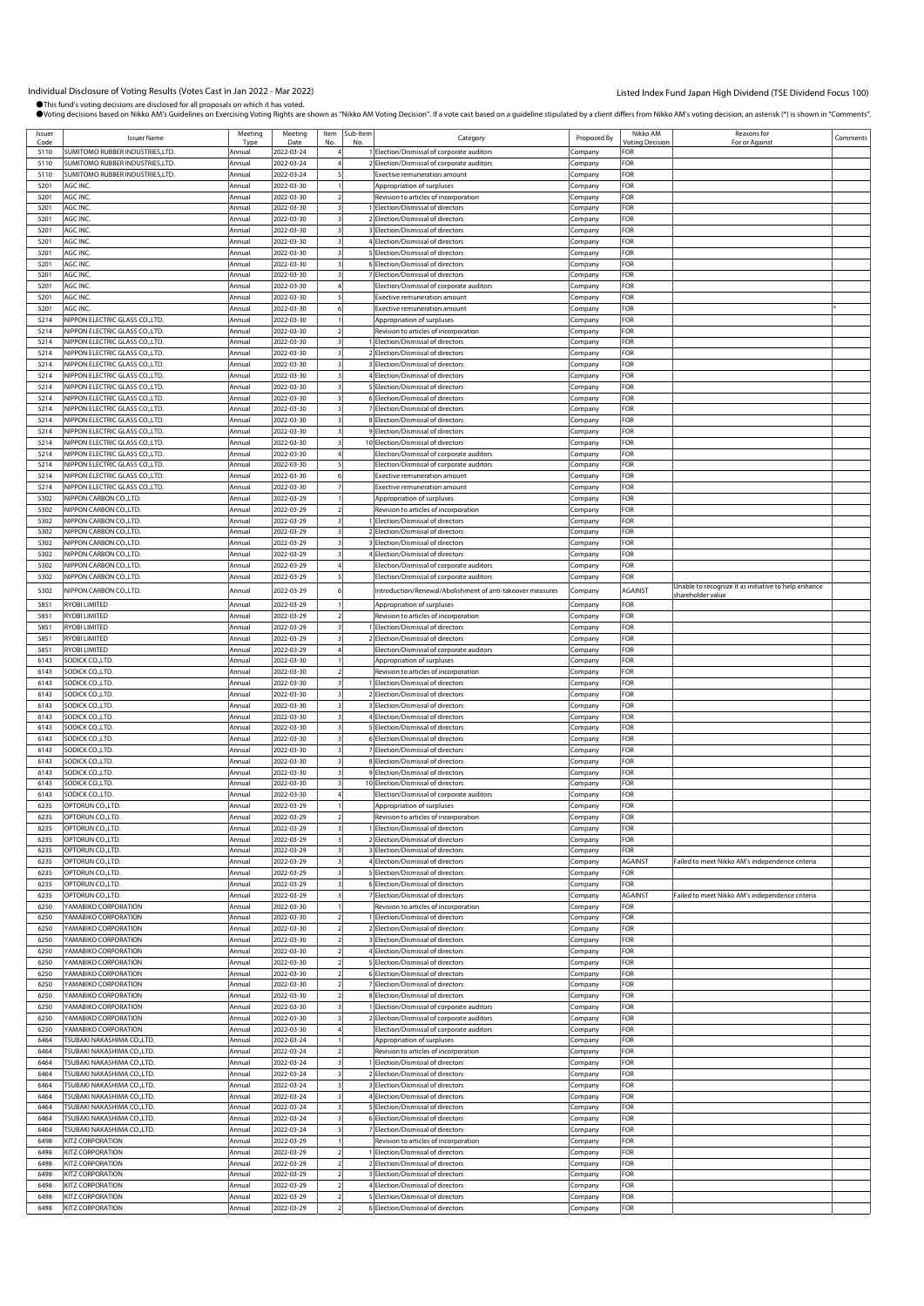| Issuer       |                                                                    | Meeting          | Meeting                  |     | Item Sub-Item |                                                                            |                    | Nikko AM               | Reasons for                                          |          |
|--------------|--------------------------------------------------------------------|------------------|--------------------------|-----|---------------|----------------------------------------------------------------------------|--------------------|------------------------|------------------------------------------------------|----------|
| Code         | <b>Issuer Name</b>                                                 | Type             | Date                     | No. | No            | Category                                                                   | Proposed By        | <b>Voting Decision</b> | For or Agains                                        | Comments |
| 5110         | <b>SUMITOMO RUBBER INDUSTRIES,LTD.</b>                             | Annual           | 2022-03-24               |     |               | 1 Election/Dismissal of corporate auditors                                 | Company            | FOR                    |                                                      |          |
| 5110         | SUMITOMO RUBBER INDUSTRIES,LTD                                     | Annua            | 2022-03-24               |     |               | 2 Election/Dismissal of corporate auditors                                 | Company            | FOR                    |                                                      |          |
| 5110         | <b>SUMITOMO RUBBER INDUSTRIES,LTD.</b><br>AGC INC                  | Annual           | 2022-03-24               |     |               | <b>Exective remuneration amount</b>                                        | Company            | FOR                    |                                                      |          |
| 5201<br>5201 | AGC INC.                                                           | Annual<br>Annual | 2022-03-30<br>2022-03-30 |     |               | Appropriation of surpluses<br>Revision to articles of incorporation        | Company<br>Company | FOR<br>FOR             |                                                      |          |
| 5201         | AGC INC.                                                           | Annual           | 2022-03-30               |     |               | 1 Election/Dismissal of directors                                          | Company            | FOR                    |                                                      |          |
| 5201         | AGC INC.                                                           | Annual           | 2022-03-30               |     |               | 2 Election/Dismissal of directors                                          | Company            | FOR                    |                                                      |          |
| 5201         | AGC INC.                                                           | Annual           | 2022-03-30               |     |               | 3 Election/Dismissal of directors                                          | Company            | FOR                    |                                                      |          |
| 5201         | AGC INC.                                                           | Annual           | 2022-03-30               |     |               | 4 Election/Dismissal of directors                                          | Company            | FOR                    |                                                      |          |
| 5201         | AGC INC.                                                           | Annual           | 2022-03-30               |     |               | 5 Election/Dismissal of directors                                          | Company            | FOR                    |                                                      |          |
| 5201         | AGC INC.                                                           | Annual           | 2022-03-30               |     |               | 6 Election/Dismissal of directors                                          | Company            | FOR                    |                                                      |          |
| 5201         | AGC INC.                                                           | Annual           | 2022-03-30               |     |               | 7 Election/Dismissal of directors                                          | Company            | FOR                    |                                                      |          |
| 5201         | AGC INC.                                                           | Annua            | 2022-03-30               |     |               | Election/Dismissal of corporate auditors                                   | Company            | FOR                    |                                                      |          |
| 5201         | AGC INC.                                                           | Annual           | 2022-03-30               |     |               | Exective remuneration amount                                               | Company            | FOR                    |                                                      |          |
| 5201         | AGC INC.                                                           | Annual           | 2022-03-30               |     |               | Exective remuneration amount                                               | Company            | FOR                    |                                                      |          |
| 5214         | NIPPON ELECTRIC GLASS CO.,LTD.                                     | Annual           | 2022-03-30               |     |               | Appropriation of surpluses                                                 | Company            | FOR                    |                                                      |          |
| 5214         | NIPPON ELECTRIC GLASS CO.,LTD.                                     | Annual           | 2022-03-30               |     |               | Revision to articles of incorporation                                      | Company            | FOR                    |                                                      |          |
| 5214         | <b>NIPPON ELECTRIC GLASS CO.,LTD.</b>                              | Annual           | 2022-03-30               |     |               | 1 Election/Dismissal of directors                                          | Company            | FOR                    |                                                      |          |
| 5214         | NIPPON ELECTRIC GLASS CO.,LTD.                                     | Annual           | 2022-03-30               |     |               | 2 Election/Dismissal of directors                                          | Company            | FOR                    |                                                      |          |
| 5214<br>5214 | NIPPON ELECTRIC GLASS CO., LTD.<br>NIPPON ELECTRIC GLASS CO., LTD. | Annua<br>Annual  | 2022-03-30<br>2022-03-30 |     |               | 3 Election/Dismissal of directors<br>4 Election/Dismissal of directors     | Company            | FOR<br>FOR             |                                                      |          |
| 5214         | NIPPON ELECTRIC GLASS CO., LTD.                                    | Annual           | 2022-03-30               |     |               | 5 Election/Dismissal of directors                                          | Company            | FOR                    |                                                      |          |
| 5214         | <b>NIPPON ELECTRIC GLASS CO., LTD.</b>                             | Annual           | 2022-03-30               |     |               | 6 Election/Dismissal of directors                                          | Company<br>Company | FOR                    |                                                      |          |
| 5214         | NIPPON ELECTRIC GLASS CO.,LTD.                                     | Annual           | 2022-03-30               |     |               | 7 Election/Dismissal of directors                                          | Company            | FOR                    |                                                      |          |
| 5214         | NIPPON ELECTRIC GLASS CO., LTD.                                    | Annua            | 2022-03-30               |     |               | 8 Election/Dismissal of directors                                          | :ompany            | FOR                    |                                                      |          |
| 5214         | NIPPON ELECTRIC GLASS CO., LTD.                                    | Annual           | 2022-03-30               |     |               | 9 Election/Dismissal of directors                                          | Company            | FOR                    |                                                      |          |
| 5214         | NIPPON ELECTRIC GLASS CO., LTD.                                    | Annual           | 2022-03-30               |     |               | 10 Election/Dismissal of directors                                         | Company            | FOR                    |                                                      |          |
| 5214         | <b>NIPPON ELECTRIC GLASS CO., LTD.</b>                             | Annua            | 2022-03-30               |     |               | Election/Dismissal of corporate auditors                                   | Company            | FOR                    |                                                      |          |
| 5214         | NIPPON ELECTRIC GLASS CO.,LTD.                                     | Annual           | 2022-03-30               |     |               | Election/Dismissal of corporate auditors                                   | Company            | FOR                    |                                                      |          |
| 5214         | NIPPON ELECTRIC GLASS CO.,LTD.                                     | Annua            | 2022-03-30               |     |               | Exective remuneration amount                                               | Company            | FOR                    |                                                      |          |
| 5214         | NIPPON ELECTRIC GLASS CO., LTD.                                    | Annual           | 2022-03-30               |     |               | <b>Exective remuneration amount</b>                                        | Company            | FOR                    |                                                      |          |
| 5302         | NIPPON CARBON CO., LTD.                                            | Annual           | 2022-03-29               |     |               | Appropriation of surpluses                                                 | Company            | FOR                    |                                                      |          |
| 5302         | NIPPON CARBON CO.,LTD.                                             | Annual           | 2022-03-29               |     |               | Revision to articles of incorporation                                      | Company            | FOR                    |                                                      |          |
| 5302         | NIPPON CARBON CO.,LTD.                                             | Annual           | 2022-03-29               |     |               | 1 Election/Dismissal of directors                                          | Company            | FOR                    |                                                      |          |
| 5302         | NIPPON CARBON CO.,LTD.                                             | Annua            | 2022-03-29               |     |               | 2 Election/Dismissal of directors                                          | Company            | FOR                    |                                                      |          |
| 5302         | NIPPON CARBON CO.,LTD.                                             | Annual           | 2022-03-29               |     |               | 3 Election/Dismissal of directors                                          | Company            | FOR                    |                                                      |          |
| 5302         | NIPPON CARBON CO.,LTD.                                             | Annual           | 2022-03-29               |     |               | 4 Election/Dismissal of directors                                          | Company            | FOR                    |                                                      |          |
| 5302         | NIPPON CARBON CO.,LTD.                                             | Annual           | 2022-03-29               |     |               | Election/Dismissal of corporate auditors                                   | Company            | FOR                    |                                                      |          |
| 5302         | NIPPON CARBON CO., LTD.                                            | Annual           | 2022-03-29               |     |               | Election/Dismissal of corporate auditors                                   | Company            | FOR                    | Unable to recognize it as initiative to help enhance |          |
| 5302         | NIPPON CARBON CO., LTD.                                            | Annual           | 2022-03-29               |     |               | Introduction/Renewal/Abolishment of anti-takeover measures                 | Company            | AGAINST                | hareholder value                                     |          |
| 5851         | RYOBI LIMITED                                                      | Annual           | 2022-03-29               |     |               | Appropriation of surpluses                                                 | Company            | FOR                    |                                                      |          |
| 5851         | RYOBI LIMITED                                                      | Annual           | 2022-03-29               |     |               | Revision to articles of incorporation                                      | Company            | FOR                    |                                                      |          |
| 5851         | RYOBI LIMITED                                                      | Annual           | 2022-03-29               |     |               | 1 Election/Dismissal of directors                                          | Company            | FOR                    |                                                      |          |
| 5851         | RYOBI LIMITED                                                      | Annua            | 2022-03-29               |     |               | 2 Election/Dismissal of directors                                          | Company            | FOR                    |                                                      |          |
| 5851         | RYOBI LIMITED                                                      | Annual           | 2022-03-29               |     |               | Election/Dismissal of corporate auditors                                   | Company            | FOR                    |                                                      |          |
| 6143         | SODICK CO.,LTD.                                                    | Annual           | 2022-03-30               |     |               | Appropriation of surpluses                                                 | Company            | FOR                    |                                                      |          |
| 6143         | SODICK CO.,LTD.                                                    | Annual           | 2022-03-30               |     |               | Revision to articles of incorporation                                      | Company            | FOR                    |                                                      |          |
| 6143<br>6143 | SODICK CO.,LTD.<br>SODICK CO., LTD.                                | Annual<br>Annual | 2022-03-30<br>2022-03-30 |     |               | 1 Election/Dismissal of directors<br>2 Election/Dismissal of directors     | Company            | FOR<br>FOR             |                                                      |          |
| 6143         | SODICK CO.,LTD.                                                    | Annual           | 2022-03-30               |     |               | 3 Election/Dismissal of directors                                          | Company            | FOR                    |                                                      |          |
| 6143         | SODICK CO., LTD.                                                   | Annua            | 2022-03-30               |     |               | 4 Election/Dismissal of directors                                          | Company<br>Company | FOR                    |                                                      |          |
| 6143         | SODICK CO.,LTD.                                                    | Annual           | 2022-03-30               |     |               | 5 Election/Dismissal of directors                                          | Company            | FOR                    |                                                      |          |
| 6143         | SODICK CO.,LTD.                                                    | Annual           | 2022-03-30               |     |               | 6 Election/Dismissal of directors                                          | Company            | FOR                    |                                                      |          |
| 6143         | SODICK CO., LTD.                                                   | Annual           | 2022-03-30               |     |               | 7 Election/Dismissal of directors                                          | Company            | FOR                    |                                                      |          |
| 6143         | SODICK CO.,LTD.                                                    | Annual           | 2022-03-30               |     |               | 8 Election/Dismissal of directors                                          | Company            | FOR                    |                                                      |          |
| 6143         | SODICK CO., LTD.                                                   | Annua            | 2022-03-30               |     |               | 9 Election/Dismissal of directors                                          | Company            | FOR                    |                                                      |          |
| 6143         | SODICK CO.,LTD.                                                    | Annual           | 2022-03-30               |     |               | 10 Election/Dismissal of directors                                         | Company            | FOR                    |                                                      |          |
| 6143         | SODICK CO.,LTD.                                                    | Annua            | 2022-03-30               |     |               | Election/Dismissal of corporate auditors                                   | Company            | FOR                    |                                                      |          |
| 6235         | OPTORUN CO.,LTD                                                    | Annual           | 2022-03-29               |     |               | Appropriation of surpluses                                                 | Company            | FOR                    |                                                      |          |
| 6235         | OPTORUN CO.,LTD                                                    | Annua            | 2022-03-29               |     |               | Revision to articles of incorporation                                      | Company            | FOR                    |                                                      |          |
| 6235         | OPTORUN CO.,LTD                                                    | Annual           | 2022-03-29               |     |               | 1 Election/Dismissal of directors                                          | Company            | FOR                    |                                                      |          |
| 6235         | OPTORUN CO., LTD.                                                  | Annual           | 2022-03-29               |     |               | 2 Election/Dismissal of directors                                          | Company            | FOR                    |                                                      |          |
| 6235         | OPTORUN CO., LTD.                                                  | Annual           | 2022-03-29               |     |               | 3 Election/Dismissal of directors<br>4 Election/Dismissal of directors     | Company            | FOR                    |                                                      |          |
| 6235         | OPTORUN CO.,LTD.                                                   | Annual<br>Annual | 2022-03-29               |     |               | 5 Election/Dismissal of directors                                          | Company            | AGAINST<br>FOR         | Failed to meet Nikko AM's independence criteria      |          |
| 6235<br>6235 | OPTORUN CO., LTD.<br>OPTORUN CO., LTD.                             | Annual           | 2022-03-29<br>2022-03-29 |     |               | 6 Election/Dismissal of directors                                          | Company<br>Company | FOR                    |                                                      |          |
| 6235         | OPTORUN CO., LTD.                                                  | Annual           | 2022-03-29               |     |               | 7 Election/Dismissal of directors                                          | Company            | AGAINST                | Failed to meet Nikko AM's independence criteria      |          |
| 6250         | YAMABIKO CORPORATION                                               | Annual           | 2022-03-30               |     |               | Revision to articles of incorporation                                      | Company            | FOR                    |                                                      |          |
| 6250         | YAMABIKO CORPORATION                                               | Annual           | 2022-03-30               |     |               | 1 Election/Dismissal of directors                                          | Company            | FOR                    |                                                      |          |
| 6250         | YAMABIKO CORPORATION                                               | Annual           | 2022-03-30               |     |               | 2 Election/Dismissal of directors                                          | Company            | FOR                    |                                                      |          |
| 6250         | YAMABIKO CORPORATION                                               | Annual           | 2022-03-30               |     |               | 3 Election/Dismissal of directors                                          | Company            | FOR                    |                                                      |          |
| 6250         | YAMABIKO CORPORATION                                               | Annual           | 2022-03-30               |     |               | 4 Election/Dismissal of directors                                          | Company            | FOR                    |                                                      |          |
| 6250         | YAMABIKO CORPORATION                                               | Annual           | 2022-03-30               |     |               | 5 Election/Dismissal of directors                                          | Company            | FOR                    |                                                      |          |
| 6250         | YAMABIKO CORPORATION                                               | Annual           | 2022-03-30               |     |               | 6 Election/Dismissal of directors                                          | Company            | FOR                    |                                                      |          |
| 6250         | YAMABIKO CORPORATION                                               | Annual           | 2022-03-30               |     |               | 7 Election/Dismissal of directors                                          | Company            | FOR                    |                                                      |          |
| 6250         | YAMABIKO CORPORATION                                               | Annual           | 2022-03-30               |     |               | 8 Election/Dismissal of directors                                          | Company            | FOR                    |                                                      |          |
| 6250         | YAMABIKO CORPORATION                                               | Annual           | 2022-03-30               |     |               | 1 Election/Dismissal of corporate auditors                                 | Company            | FOR                    |                                                      |          |
| 6250         | YAMABIKO CORPORATION                                               | Annual           | 2022-03-30               |     |               | 2 Election/Dismissal of corporate auditors                                 | Company            | FOR                    |                                                      |          |
| 6250         | YAMABIKO CORPORATION                                               | Annual           | 2022-03-30               |     |               | Election/Dismissal of corporate auditors                                   | Company            | FOR                    |                                                      |          |
| 6464         | TSUBAKI NAKASHIMA CO.,LTD.                                         | Annual           | 2022-03-24               |     |               | Appropriation of surpluses                                                 | Company            | FOR<br>FOR             |                                                      |          |
| 6464<br>6464 | TSUBAKI NAKASHIMA CO.,LTD.<br>TSUBAKI NAKASHIMA CO.,LTD.           | Annual<br>Annual | 2022-03-24<br>2022-03-24 |     |               | Revision to articles of incorporation<br>1 Election/Dismissal of directors | Company            | FOR                    |                                                      |          |
| 6464         | <b>TSUBAKI NAKASHIMA CO.,LTD.</b>                                  | Annual           | 2022-03-24               |     |               | 2 Election/Dismissal of directors                                          | Company<br>Company | FOR                    |                                                      |          |
| 6464         | TSUBAKI NAKASHIMA CO.,LTD.                                         | Annual           | 2022-03-24               |     |               | 3 Election/Dismissal of directors                                          | Company            | FOR                    |                                                      |          |
| 6464         | TSUBAKI NAKASHIMA CO.,LTD.                                         | Annual           | 2022-03-24               |     |               | 4 Election/Dismissal of directors                                          | Company            | FOR                    |                                                      |          |
| 6464         | TSUBAKI NAKASHIMA CO.,LTD.                                         | Annual           | 2022-03-24               |     |               | 5 Election/Dismissal of directors                                          | Company            | FOR                    |                                                      |          |
| 6464         | TSUBAKI NAKASHIMA CO.,LTD.                                         | Annual           | 2022-03-24               |     |               | 6 Election/Dismissal of directors                                          | Company            | FOR                    |                                                      |          |
| 6464         | TSUBAKI NAKASHIMA CO.,LTD.                                         | Annual           | 2022-03-24               |     |               | 7 Election/Dismissal of directors                                          | Company            | FOR                    |                                                      |          |
| 6498         | KITZ CORPORATION                                                   | Annua            | 2022-03-29               |     |               | Revision to articles of incorporation                                      | Company            | FOR                    |                                                      |          |
| 6498         | KITZ CORPORATION                                                   | Annual           | 2022-03-29               |     |               | 1 Election/Dismissal of directors                                          | Company            | FOR                    |                                                      |          |
| 6498         | KITZ CORPORATION                                                   | Annual           | 2022-03-29               |     |               | 2 Election/Dismissal of directors                                          | Company            | FOR                    |                                                      |          |
| 6498         | KITZ CORPORATION                                                   | Annual           | 2022-03-29               |     |               | 3 Election/Dismissal of directors                                          | Company            | FOR                    |                                                      |          |
| 6498         | KITZ CORPORATION                                                   | Annual           | 2022-03-29               |     |               | 4 Election/Dismissal of directors                                          | Company            | FOR                    |                                                      |          |
| 6498         | KITZ CORPORATION                                                   | Annual           | 2022-03-29               |     |               | 5 Election/Dismissal of directors                                          | Company            | FOR                    |                                                      |          |
| 6498         | KITZ CORPORATION                                                   | Annual           | 2022-03-29               |     |               | 6 Election/Dismissal of directors                                          | Company            | FOR                    |                                                      |          |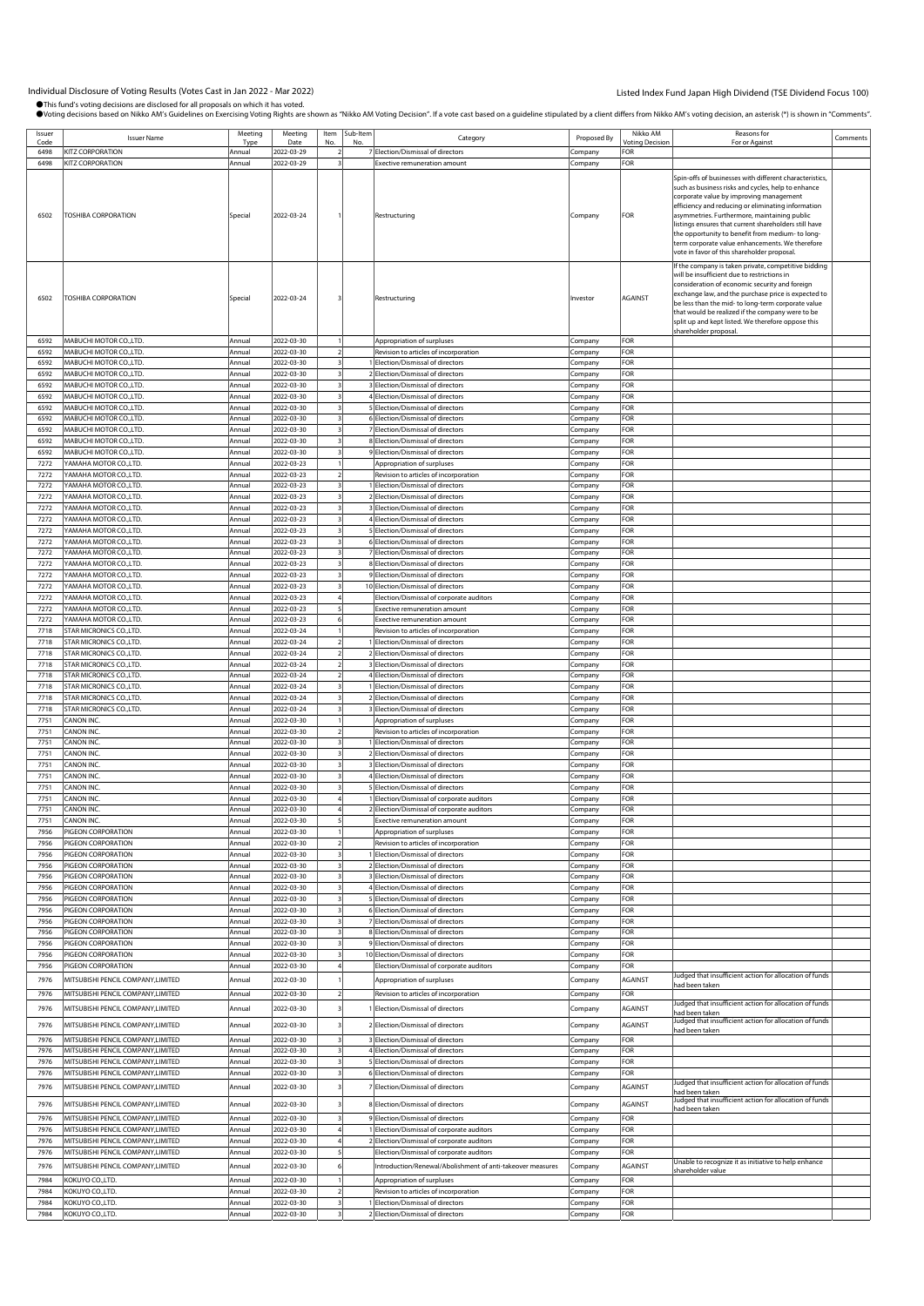| Issuer       | <b>Issuer Name</b>                                               | Meeting           | Meeting                  | Item | Sub-Item |                                                                                          | Proposed By        | Nikko AM       | Reasons for                                                                                                                                                                                                                                                                                                                                                                                                                                                                   | Comments |
|--------------|------------------------------------------------------------------|-------------------|--------------------------|------|----------|------------------------------------------------------------------------------------------|--------------------|----------------|-------------------------------------------------------------------------------------------------------------------------------------------------------------------------------------------------------------------------------------------------------------------------------------------------------------------------------------------------------------------------------------------------------------------------------------------------------------------------------|----------|
| Code         |                                                                  | Tvp               | Date                     |      |          | Category                                                                                 |                    | 'oting Decisio | For or Agains                                                                                                                                                                                                                                                                                                                                                                                                                                                                 |          |
| 6498         | <b>ITZ CORPORATION</b>                                           | Annual            | 2022-03-29               |      |          | 7 Election/Dismissal of directors                                                        | Company            | FOR            |                                                                                                                                                                                                                                                                                                                                                                                                                                                                               |          |
| 6498<br>6502 | KITZ CORPORATION<br>TOSHIBA CORPORATION                          | Annual<br>Special | 2022-03-29<br>2022-03-24 |      |          | <b>Exective remuneration amount</b><br>Restructuring                                     | Company<br>Company | FOR<br>FOR     | Spin-offs of businesses with different characteristics,<br>such as business risks and cycles, help to enhance<br>corporate value by improving management<br>efficiency and reducing or eliminating information<br>asymmetries. Furthermore, maintaining public<br>listings ensures that current shareholders still have<br>the opportunity to benefit from medium- to long-<br>term corporate value enhancements. We therefore<br>vote in favor of this shareholder proposal. |          |
| 6502         | TOSHIBA CORPORATION                                              | Special           | 2022-03-24               |      |          | Restructuring                                                                            | Investor           | <b>AGAINST</b> | If the company is taken private, competitive bidding<br>will be insufficient due to restrictions in<br>consideration of economic security and foreign<br>exchange law, and the purchase price is expected to<br>be less than the mid- to long-term corporate value<br>that would be realized if the company were to be<br>split up and kept listed. We therefore oppose this<br>shareholder proposal.                                                                         |          |
| 6592         | MABUCHI MOTOR CO.,LTD.                                           | Annual            | 2022-03-30               |      |          | Appropriation of surpluses                                                               | Company            | FOR            |                                                                                                                                                                                                                                                                                                                                                                                                                                                                               |          |
| 6592         | MABUCHI MOTOR CO.,LTD.                                           | Annual            | 2022-03-30               |      |          | Revision to articles of incorporation                                                    | Company            | FOR            |                                                                                                                                                                                                                                                                                                                                                                                                                                                                               |          |
| 6592<br>6592 | MABUCHI MOTOR CO.,LTD.<br>MABUCHI MOTOR CO., LTD.                | Annual<br>Annual  | 2022-03-30<br>2022-03-30 |      |          | 1 Election/Dismissal of directors<br>2 Election/Dismissal of directors                   | Company            | FOR<br>FOR     |                                                                                                                                                                                                                                                                                                                                                                                                                                                                               |          |
| 6592         | MABUCHI MOTOR CO., LTD.                                          | Annual            | 2022-03-30               |      |          | 3 Election/Dismissal of directors                                                        | :ompany<br>.ompany | FOR            |                                                                                                                                                                                                                                                                                                                                                                                                                                                                               |          |
| 6592         | MABUCHI MOTOR CO., LTD.                                          | Annual            | 2022-03-30               |      |          | 4 Election/Dismissal of directors                                                        | :ompany            | FOR            |                                                                                                                                                                                                                                                                                                                                                                                                                                                                               |          |
| 6592         | MABUCHI MOTOR CO., LTD.                                          | Annual            | 2022-03-30               |      |          | 5 Election/Dismissal of directors                                                        | Company            | FOR            |                                                                                                                                                                                                                                                                                                                                                                                                                                                                               |          |
| 6592         | MABUCHI MOTOR CO.,LTD.                                           | Annual            | 2022-03-30               |      |          | 6 Election/Dismissal of directors                                                        | Company            | FOR            |                                                                                                                                                                                                                                                                                                                                                                                                                                                                               |          |
| 6592         | MABUCHI MOTOR CO., LTD.                                          | Annual            | 2022-03-30               |      |          | 7 Election/Dismissal of directors                                                        | ompany.            | FOR            |                                                                                                                                                                                                                                                                                                                                                                                                                                                                               |          |
| 6592         | MABUCHI MOTOR CO., LTD.                                          | Annual            | 2022-03-30               |      |          | 8 Election/Dismissal of directors                                                        | .ompany            | FOR            |                                                                                                                                                                                                                                                                                                                                                                                                                                                                               |          |
| 6592         | MABUCHI MOTOR CO.,LTD.                                           | Annual            | 2022-03-30               |      |          | 9 Election/Dismissal of directors                                                        | :ompany            | FOR            |                                                                                                                                                                                                                                                                                                                                                                                                                                                                               |          |
| 7272         | YAMAHA MOTOR CO.,LTD.                                            | Annual            | 2022-03-23               |      |          | Appropriation of surpluses                                                               | Company            | FOR            |                                                                                                                                                                                                                                                                                                                                                                                                                                                                               |          |
| 7272         | YAMAHA MOTOR CO.,LTD.                                            | Annual            | 2022-03-23               |      |          | Revision to articles of incorporation                                                    | Company            | FOR            |                                                                                                                                                                                                                                                                                                                                                                                                                                                                               |          |
| 7272         | <b>AMAHA MOTOR CO.,LTD.</b>                                      | Annual            | 2022-03-23               |      |          | 1 Election/Dismissal of directors                                                        | :ompany            | FOR            |                                                                                                                                                                                                                                                                                                                                                                                                                                                                               |          |
| 7272         | YAMAHA MOTOR CO.,LTD.                                            | Annual            | 2022-03-23               |      |          | 2 Election/Dismissal of directors                                                        | .cmpany            | FOR            |                                                                                                                                                                                                                                                                                                                                                                                                                                                                               |          |
| 7272         | <b>/AMAHA MOTOR CO.,LTD.</b>                                     | Annual            | 2022-03-23               |      |          | 3 Election/Dismissal of directors                                                        | ompany.            | FOR            |                                                                                                                                                                                                                                                                                                                                                                                                                                                                               |          |
| 7272         | YAMAHA MOTOR CO.,LTD.                                            | Annual            | 2022-03-23               |      |          | 4 Election/Dismissal of directors                                                        | Company            | FOR            |                                                                                                                                                                                                                                                                                                                                                                                                                                                                               |          |
| 7272         | YAMAHA MOTOR CO.,LTD.<br><b>AMAHA MOTOR CO.,LTD.</b>             | Annual            | 2022-03-23               |      |          | 5 Election/Dismissal of directors                                                        | Company            | FOR<br>FOR     |                                                                                                                                                                                                                                                                                                                                                                                                                                                                               |          |
| 7272<br>7272 | YAMAHA MOTOR CO.,LTD.                                            | Annual<br>Annual  | 2022-03-23<br>2022-03-23 |      |          | 6 Election/Dismissal of directors<br>7 Election/Dismissal of directors                   | :ompany<br>.cmpany | FOR            |                                                                                                                                                                                                                                                                                                                                                                                                                                                                               |          |
| 7272         | <b>AMAHA MOTOR CO.,LTD.</b>                                      | Annual            | 2022-03-23               |      |          | 8 Election/Dismissal of directors                                                        | ompany.            | FOR            |                                                                                                                                                                                                                                                                                                                                                                                                                                                                               |          |
| 7272         | YAMAHA MOTOR CO.,LTD.                                            | Annual            | 2022-03-23               |      |          | 9 Election/Dismissal of directors                                                        | Company            | FOR            |                                                                                                                                                                                                                                                                                                                                                                                                                                                                               |          |
| 7272         | YAMAHA MOTOR CO.,LTD.                                            | Annual            | 2022-03-23               |      |          | 10 Election/Dismissal of directors                                                       | Company            | FOR            |                                                                                                                                                                                                                                                                                                                                                                                                                                                                               |          |
| 7272         | YAMAHA MOTOR CO.,LTD.                                            | Annual            | 2022-03-23               |      |          | Election/Dismissal of corporate auditors                                                 | :ompany            | FOR            |                                                                                                                                                                                                                                                                                                                                                                                                                                                                               |          |
| 7272         | YAMAHA MOTOR CO.,LTD.                                            | Annual            | 2022-03-23               |      |          | Exective remuneration amount                                                             | Company            | FOR            |                                                                                                                                                                                                                                                                                                                                                                                                                                                                               |          |
| 7272         | YAMAHA MOTOR CO.,LTD.                                            | Annual            | 2022-03-23               |      |          | Exective remuneration amount                                                             | .<br>ompany        | FOR            |                                                                                                                                                                                                                                                                                                                                                                                                                                                                               |          |
| 7718         | <b>STAR MICRONICS CO.,LTD.</b>                                   | Annual            | 2022-03-24               |      |          | Revision to articles of incorporation                                                    | Company            | FOR            |                                                                                                                                                                                                                                                                                                                                                                                                                                                                               |          |
| 7718         | STAR MICRONICS CO.,LTD.                                          | Annual            | 2022-03-24               |      |          | 1 Election/Dismissal of directors                                                        | Company            | FOR            |                                                                                                                                                                                                                                                                                                                                                                                                                                                                               |          |
| 7718         | STAR MICRONICS CO., LTD.                                         | Annual            | 2022-03-24               |      |          | 2 Election/Dismissal of directors                                                        | :ompany            | FOR            |                                                                                                                                                                                                                                                                                                                                                                                                                                                                               |          |
| 7718         | <b>STAR MICRONICS CO.,LTD.</b>                                   | Annual            | 2022-03-24               |      |          | 3 Election/Dismissal of directors                                                        | .ompany            | FOR            |                                                                                                                                                                                                                                                                                                                                                                                                                                                                               |          |
| 7718<br>7718 | <b>STAR MICRONICS CO.,LTD.</b><br><b>STAR MICRONICS CO.,LTD.</b> | Annual<br>Annual  | 2022-03-24<br>2022-03-24 |      |          | 4 Election/Dismissal of directors<br>1 Election/Dismissal of directors                   | :ompany            | FOR<br>FOR     |                                                                                                                                                                                                                                                                                                                                                                                                                                                                               |          |
| 7718         | STAR MICRONICS CO.,LTD.                                          | Annual            | 2022-03-24               |      |          | 2 Election/Dismissal of directors                                                        | Company<br>Company | FOR            |                                                                                                                                                                                                                                                                                                                                                                                                                                                                               |          |
| 7718         | STAR MICRONICS CO., LTD.                                         | Annual            | 2022-03-24               |      |          | 3 Election/Dismissal of directors                                                        | :ompany            | FOR            |                                                                                                                                                                                                                                                                                                                                                                                                                                                                               |          |
| 7751         | CANON INC.                                                       | Annual            | 2022-03-30               |      |          | Appropriation of surpluses                                                               | .ompany            | FOR            |                                                                                                                                                                                                                                                                                                                                                                                                                                                                               |          |
| 7751         | CANON INC.                                                       | Annual            | 2022-03-30               |      |          | Revision to articles of incorporation                                                    | :ompany            | FOR            |                                                                                                                                                                                                                                                                                                                                                                                                                                                                               |          |
| 7751         | CANON INC.                                                       | Annual            | 2022-03-30               |      |          | 1 Election/Dismissal of directors                                                        | Company            | FOR            |                                                                                                                                                                                                                                                                                                                                                                                                                                                                               |          |
| 7751         | CANON INC.                                                       | Annual            | 2022-03-30               |      |          | 2 Election/Dismissal of directors                                                        | Company            | FOR            |                                                                                                                                                                                                                                                                                                                                                                                                                                                                               |          |
| 7751         | CANON INC.                                                       | Annual            | 2022-03-30               |      |          | 3 Election/Dismissal of directors                                                        | :ompany            | FOR            |                                                                                                                                                                                                                                                                                                                                                                                                                                                                               |          |
| 7751         | CANON INC.                                                       | Annual            | 2022-03-30               |      |          | 4 Election/Dismissal of directors                                                        | .cmpany            | FOR            |                                                                                                                                                                                                                                                                                                                                                                                                                                                                               |          |
| 7751         | CANON INC.                                                       | Annual            | 2022-03-30               |      |          | 5 Election/Dismissal of directors                                                        | ompany.            | FOR            |                                                                                                                                                                                                                                                                                                                                                                                                                                                                               |          |
| 7751<br>7751 | CANON INC.<br>CANON INC.                                         | Annual<br>Annual  | 2022-03-30<br>2022-03-30 |      |          | 1 Election/Dismissal of corporate auditors<br>2 Election/Dismissal of corporate auditors | Company            | FOR<br>FOR     |                                                                                                                                                                                                                                                                                                                                                                                                                                                                               |          |
|              | ANON INC                                                         |                   | UZZ-U3-3U                |      |          |                                                                                          | Company            |                |                                                                                                                                                                                                                                                                                                                                                                                                                                                                               |          |
| 7956         | PIGEON CORPORATION                                               | տոսժ<br>Annual    | 2022-03-30               |      |          | kecuve remuneration amoun<br>Appropriation of surpluses                                  | ompany<br>Company  | FOR            |                                                                                                                                                                                                                                                                                                                                                                                                                                                                               |          |
| 7956         | PIGEON CORPORATION                                               | Annual            | 2022-03-30               |      |          | Revision to articles of incorporation                                                    | :ompany            | FOR            |                                                                                                                                                                                                                                                                                                                                                                                                                                                                               |          |
| 7956         | PIGEON CORPORATION                                               | Annual            | 2022-03-30               |      |          | 1 Election/Dismissal of directors                                                        | Company            | FOR            |                                                                                                                                                                                                                                                                                                                                                                                                                                                                               |          |
| 7956         | PIGEON CORPORATION                                               | Annual            | 2022-03-30               |      |          | 2 Election/Dismissal of directors                                                        | Company            | FOR            |                                                                                                                                                                                                                                                                                                                                                                                                                                                                               |          |
| 7956         | PIGEON CORPORATION                                               | Annual            | 2022-03-30               |      |          | 3 Election/Dismissal of directors                                                        | :ompany            | FOR            |                                                                                                                                                                                                                                                                                                                                                                                                                                                                               |          |
| 7956         | PIGEON CORPORATION                                               | Annual            | 2022-03-30               |      |          | 4 Election/Dismissal of directors                                                        | Company            | FOR            |                                                                                                                                                                                                                                                                                                                                                                                                                                                                               |          |
| 7956         | PIGEON CORPORATION                                               | Annual            | 2022-03-30               |      |          | 5 Election/Dismissal of directors                                                        | Company            | FOR            |                                                                                                                                                                                                                                                                                                                                                                                                                                                                               |          |
| 7956         | PIGEON CORPORATION                                               | Annual            | 2022-03-30               |      |          | 6 Election/Dismissal of directors                                                        | Company            | FOR            |                                                                                                                                                                                                                                                                                                                                                                                                                                                                               |          |
| 7956<br>7956 | PIGEON CORPORATION<br>PIGEON CORPORATION                         | Annual<br>Annual  | 2022-03-30<br>2022-03-30 |      |          | 7 Election/Dismissal of directors<br>8 Election/Dismissal of directors                   | Company<br>:ompany | FOR<br>FOR     |                                                                                                                                                                                                                                                                                                                                                                                                                                                                               |          |
| 7956         | PIGEON CORPORATION                                               | Annual            | 2022-03-30               |      |          | 9 Election/Dismissal of directors                                                        | .cmpany            | FOR            |                                                                                                                                                                                                                                                                                                                                                                                                                                                                               |          |
| 7956         | PIGEON CORPORATION                                               | Annual            | 2022-03-30               |      |          | 10 Election/Dismissal of directors                                                       | Company            | FOR            |                                                                                                                                                                                                                                                                                                                                                                                                                                                                               |          |
| 7956         | PIGEON CORPORATION                                               | Annual            | 2022-03-30               |      |          | Election/Dismissal of corporate auditors                                                 | Company            | FOR            |                                                                                                                                                                                                                                                                                                                                                                                                                                                                               |          |
| 7976         | MITSUBISHI PENCIL COMPANY,LIMITED                                | Annual            | 2022-03-30               |      |          | Appropriation of surpluses                                                               | Company            | <b>AGAINST</b> | Judged that insufficient action for allocation of funds                                                                                                                                                                                                                                                                                                                                                                                                                       |          |
|              | MITSUBISHI PENCIL COMPANY,LIMITED                                |                   |                          |      |          | Revision to articles of incorporation                                                    |                    | FOR            | had been taken                                                                                                                                                                                                                                                                                                                                                                                                                                                                |          |
| 7976         |                                                                  | Annual            | 2022-03-30               |      |          |                                                                                          | Company            |                | Judged that insufficient action for allocation of funds                                                                                                                                                                                                                                                                                                                                                                                                                       |          |
| 7976         | MITSUBISHI PENCIL COMPANY,LIMITED                                | Annual            | 2022-03-30               |      |          | Election/Dismissal of directors                                                          | .cmpany            | <b>AGAINST</b> | had been taken                                                                                                                                                                                                                                                                                                                                                                                                                                                                |          |
| 7976         | MITSUBISHI PENCIL COMPANY,LIMITED                                | Annual            | 2022-03-30               |      |          | 2 Election/Dismissal of directors                                                        | Company            | AGAINST        | Judged that insufficient action for allocation of funds                                                                                                                                                                                                                                                                                                                                                                                                                       |          |
| 7976         | MITSUBISHI PENCIL COMPANY, LIMITED                               | Annual            | 2022-03-30               |      |          | 3 Election/Dismissal of directors                                                        | Company            | FOR            | had been taken                                                                                                                                                                                                                                                                                                                                                                                                                                                                |          |
| 7976         | MITSUBISHI PENCIL COMPANY,LIMITED                                | Annual            | 2022-03-30               |      |          | 4 Election/Dismissal of directors                                                        | Company            | FOR            |                                                                                                                                                                                                                                                                                                                                                                                                                                                                               |          |
| 7976         | MITSUBISHI PENCIL COMPANY, LIMITED                               | Annual            | 2022-03-30               |      |          | 5 Election/Dismissal of directors                                                        | Company            | FOR            |                                                                                                                                                                                                                                                                                                                                                                                                                                                                               |          |
| 7976         | MITSUBISHI PENCIL COMPANY,LIMITED                                | Annual            | 2022-03-30               |      |          | 6 Election/Dismissal of directors                                                        | Company            | FOR            |                                                                                                                                                                                                                                                                                                                                                                                                                                                                               |          |
| 7976         | MITSUBISHI PENCIL COMPANY,LIMITED                                | Annual            | 2022-03-30               |      |          | 7 Election/Dismissal of directors                                                        | Company            | <b>AGAINST</b> | ludged that insufficient action for allocation of funds                                                                                                                                                                                                                                                                                                                                                                                                                       |          |
|              |                                                                  |                   |                          |      |          |                                                                                          |                    |                | ad been taken<br>Judged that insufficient action for allocation of funds                                                                                                                                                                                                                                                                                                                                                                                                      |          |
| 7976         | MITSUBISHI PENCIL COMPANY,LIMITED                                | Annual            | 2022-03-30               |      |          | 8 Election/Dismissal of directors                                                        | Company            | <b>AGAINST</b> | had been taken                                                                                                                                                                                                                                                                                                                                                                                                                                                                |          |
| 7976         | MITSUBISHI PENCIL COMPANY, LIMITED                               | Annual            | 2022-03-30               |      |          | 9 Election/Dismissal of directors                                                        | :ompany            | FOR            |                                                                                                                                                                                                                                                                                                                                                                                                                                                                               |          |
| 7976         | MITSUBISHI PENCIL COMPANY, LIMITED                               | Annual            | 2022-03-30               |      |          | 1 Election/Dismissal of corporate auditors                                               | Company            | FOR            |                                                                                                                                                                                                                                                                                                                                                                                                                                                                               |          |
| 7976         | MITSUBISHI PENCIL COMPANY,LIMITED                                | Annual            | 2022-03-30               |      |          | 2 Election/Dismissal of corporate auditors                                               | Company            | FOR            |                                                                                                                                                                                                                                                                                                                                                                                                                                                                               |          |
| 7976         | MITSUBISHI PENCIL COMPANY,LIMITED                                | Annual            | 2022-03-30               |      |          | Election/Dismissal of corporate auditors                                                 | Company            | FOR            | Unable to recognize it as initiative to help enhance                                                                                                                                                                                                                                                                                                                                                                                                                          |          |
| 7976         | MITSUBISHI PENCIL COMPANY,LIMITED                                | Annual            | 2022-03-30               |      |          | Introduction/Renewal/Abolishment of anti-takeover measures                               | Company            | <b>AGAINST</b> | hareholder value                                                                                                                                                                                                                                                                                                                                                                                                                                                              |          |
| 7984         | KOKUYO CO.,LTD.                                                  | Annual            | 2022-03-30               |      |          | Appropriation of surpluses                                                               | Company            | FOR            |                                                                                                                                                                                                                                                                                                                                                                                                                                                                               |          |
| 7984         | KOKUYO CO.,LTD.                                                  | Annual            | 2022-03-30               |      |          | Revision to articles of incorporation                                                    | Company            | FOR            |                                                                                                                                                                                                                                                                                                                                                                                                                                                                               |          |
| 7984         | KOKUYO CO.,LTD.                                                  | Annual            | 2022-03-30               |      |          | 1 Election/Dismissal of directors                                                        | Company            | FOR            |                                                                                                                                                                                                                                                                                                                                                                                                                                                                               |          |
| 7984         | KOKUYO CO.,LTD.                                                  | Annual            | 2022-03-30               |      |          | 2 Election/Dismissal of directors                                                        | Company            | FOR            |                                                                                                                                                                                                                                                                                                                                                                                                                                                                               |          |